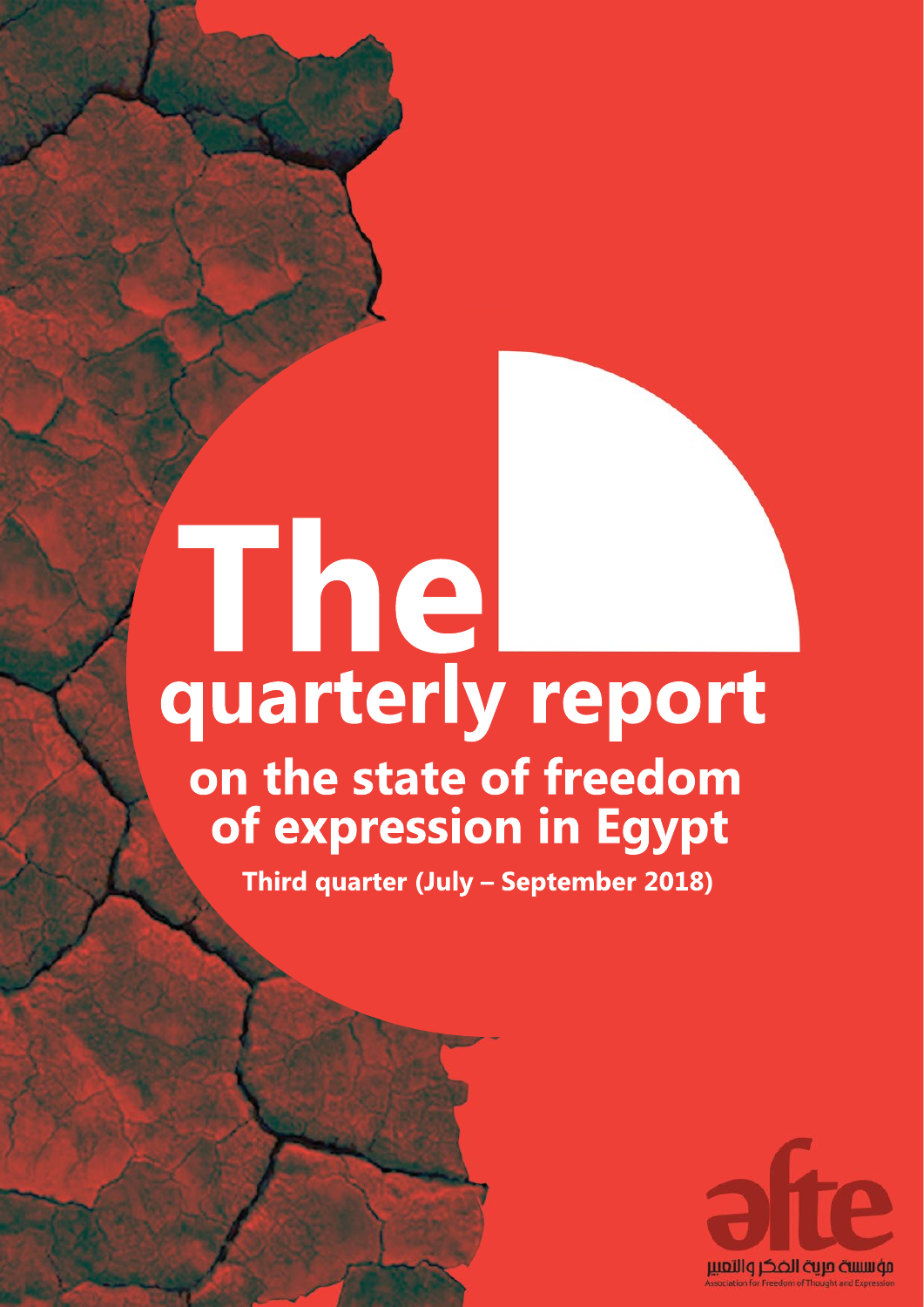# $-$ **on the state of freedom of expression in Egypt quarterly report The**

**Third quarter (July – September 2018)**

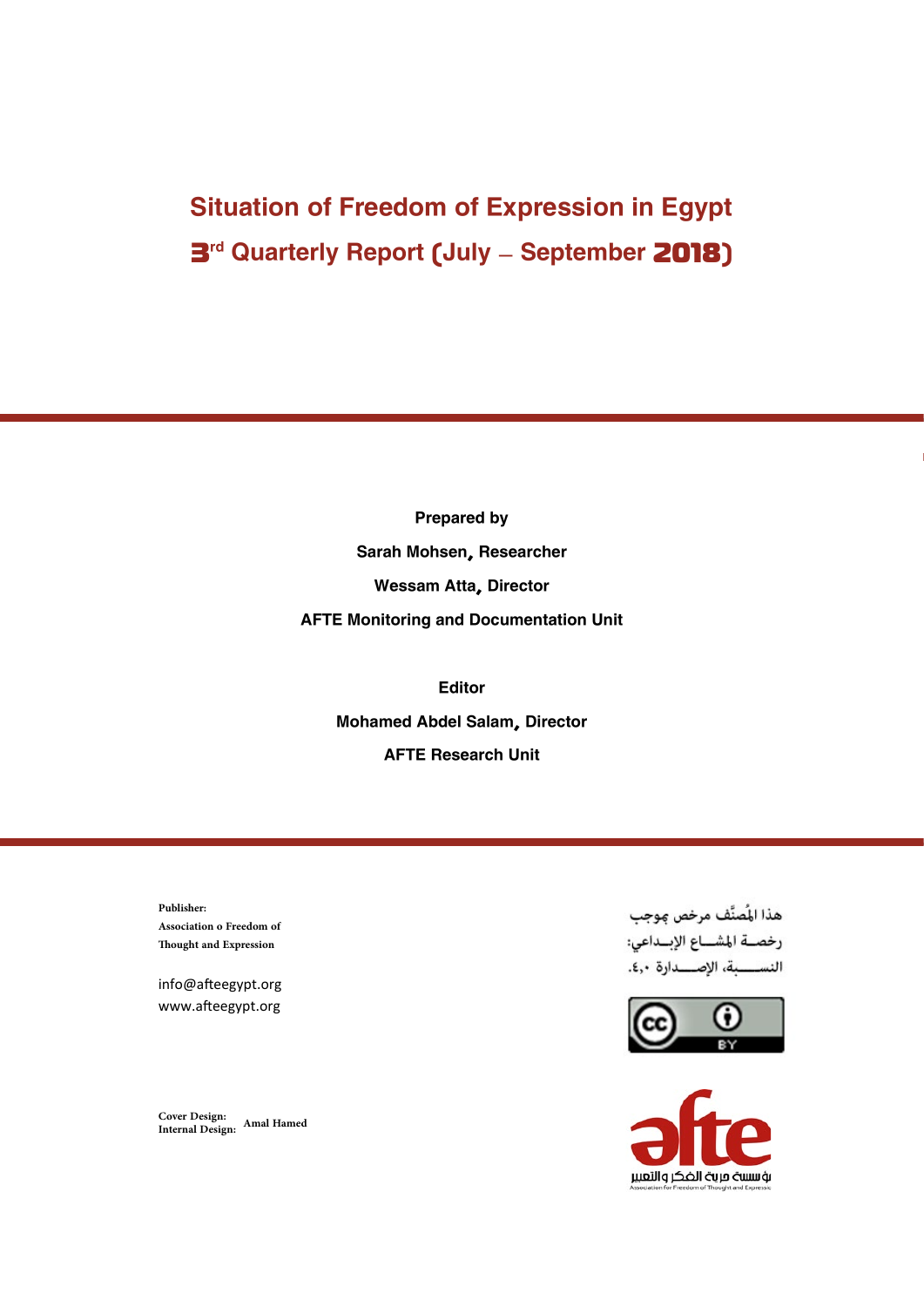# Situation of Freedom of Expression in Egypt **3<sup>rd</sup> Quarterly Report (July – September 2018)**

Prepared by Sarah Mohsen, Researcher Wessam Atta, Director AFTE Monitoring and Documentation Unit

> Editor Mohamed Abdel Salam, Director AFTE Research Unit

**Publisher: Association o Freedom of Thought and Expression**

info@afteegypt.org www.afteegypt.org

**Cover Design: Internal Design: Amal Hamed**

هذا المُصنَّف مرخص موجب رخصــة المشـــاع الإبــداعى: النســـــبة، الإصــــدارة ٤,٠.



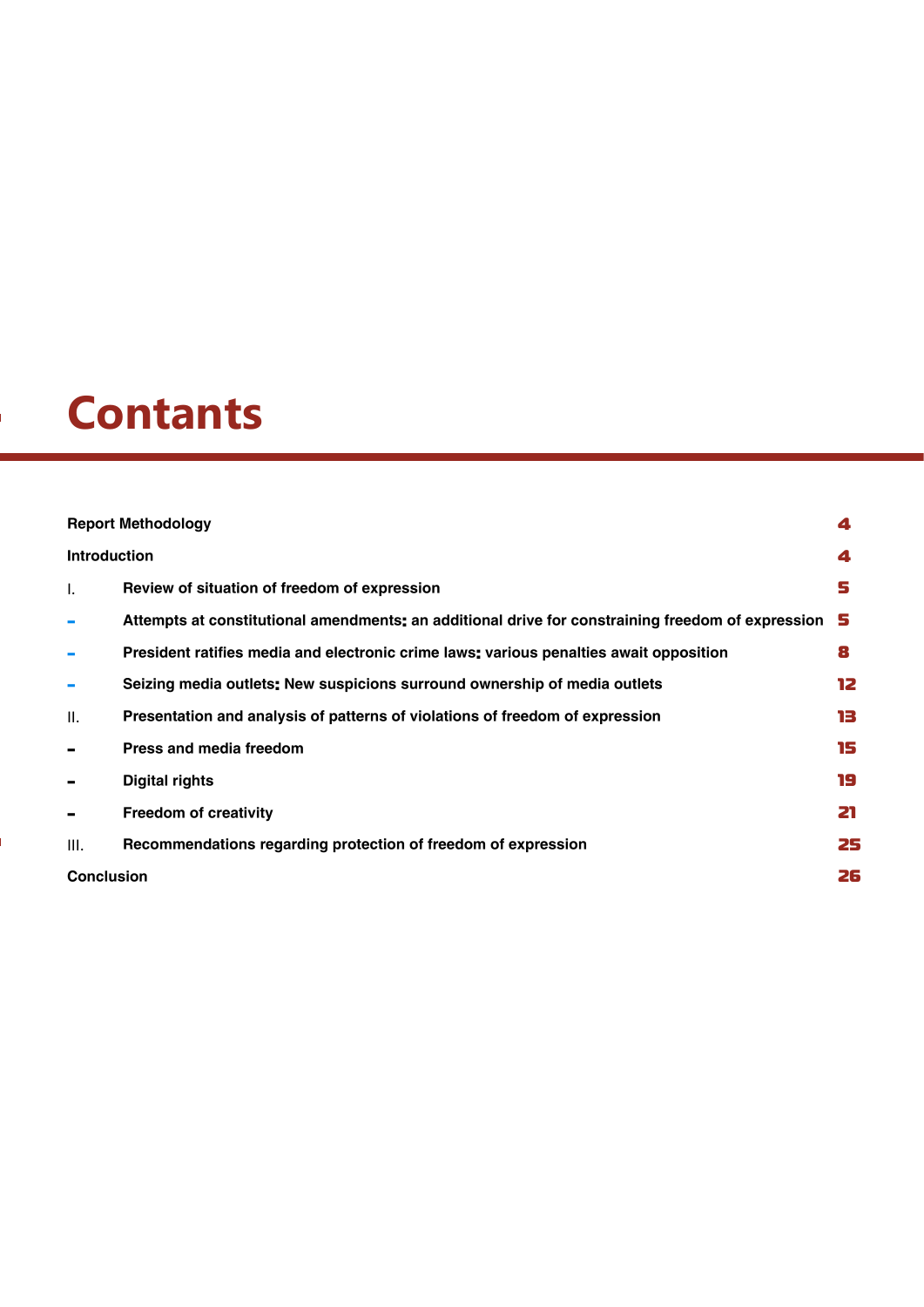# **Contants**

| <b>Report Methodology</b><br>4 |                                                                                                   |    |  |
|--------------------------------|---------------------------------------------------------------------------------------------------|----|--|
|                                | <b>Introduction</b>                                                                               |    |  |
| Ι.                             | Review of situation of freedom of expression                                                      | s  |  |
|                                | Attempts at constitutional amendments: an additional drive for constraining freedom of expression | s  |  |
|                                | President ratifies media and electronic crime laws: various penalties await opposition            | 8  |  |
|                                | Seizing media outlets: New suspicions surround ownership of media outlets                         | 12 |  |
| II.                            | Presentation and analysis of patterns of violations of freedom of expression                      | 13 |  |
|                                | Press and media freedom                                                                           | 15 |  |
|                                | <b>Digital rights</b>                                                                             | 19 |  |
|                                | <b>Freedom of creativity</b>                                                                      | 21 |  |
| III.                           | Recommendations regarding protection of freedom of expression                                     | 25 |  |
| 26<br><b>Conclusion</b>        |                                                                                                   |    |  |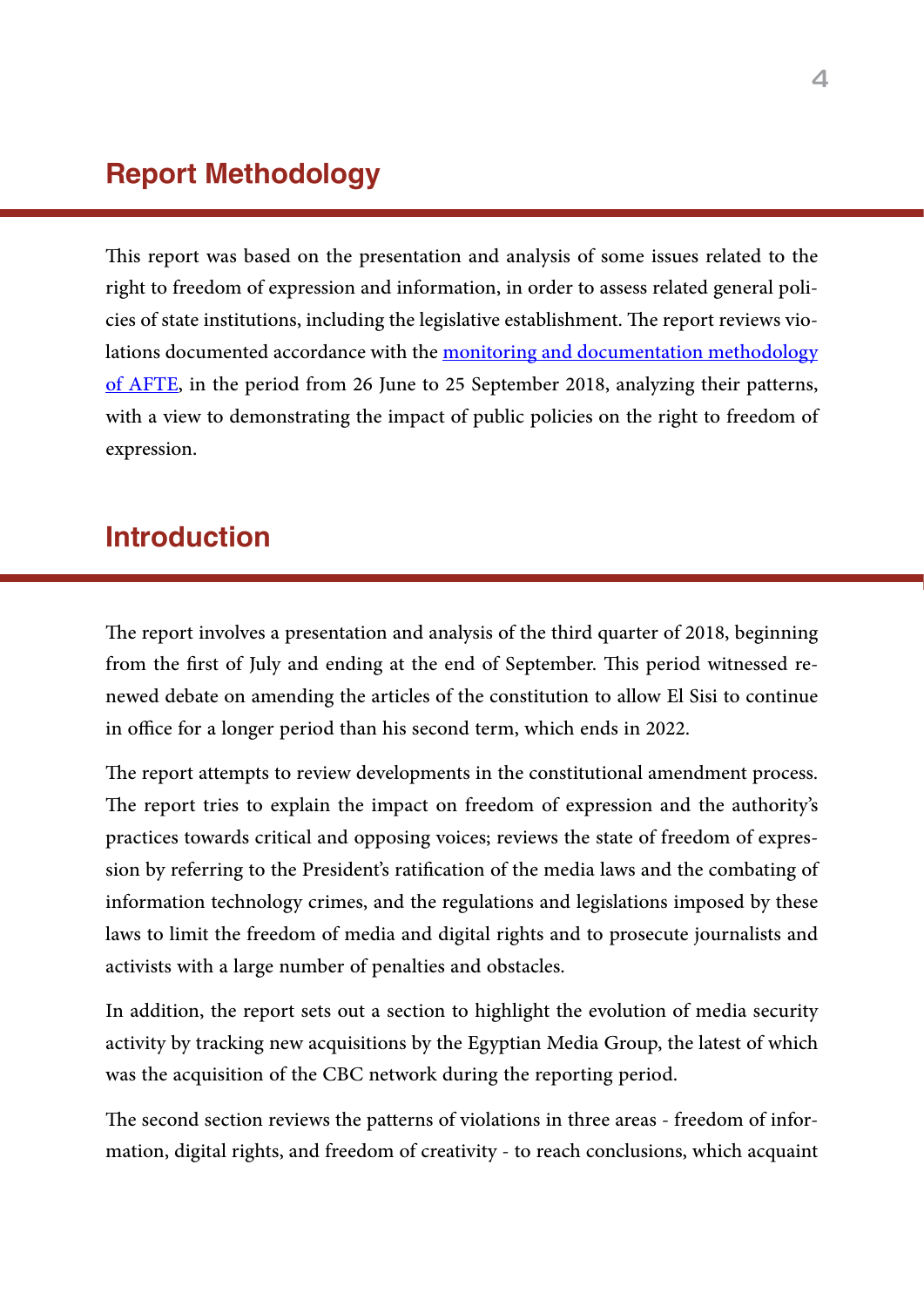## Report Methodology

This report was based on the presentation and analysis of some issues related to the right to freedom of expression and information, in order to assess related general policies of state institutions, including the legislative establishment. The report reviews violations documented accordance with the monitoring and documentation methodology of [AFTE,](https://afteegypt.org/%D9%85%D9%86%D9%87%D8%AC%D9%8A%D8%A9-%D8%A7%D9%84%D8%B1%D8%B5%D8%AF-%D9%88%D8%A7%D9%84%D8%AA%D9%88%D8%AB%D9%8A%D9%82) in the period from 26 June to 25 September 2018, analyzing their patterns, with a view to demonstrating the impact of public policies on the right to freedom of expression.

# Introduction

The report involves a presentation and analysis of the third quarter of 2018, beginning from the first of July and ending at the end of September. This period witnessed renewed debate on amending the articles of the constitution to allow El Sisi to continue in office for a longer period than his second term, which ends in 2022.

The report attempts to review developments in the constitutional amendment process. The report tries to explain the impact on freedom of expression and the authority's practices towards critical and opposing voices; reviews the state of freedom of expression by referring to the President's ratification of the media laws and the combating of information technology crimes, and the regulations and legislations imposed by these laws to limit the freedom of media and digital rights and to prosecute journalists and activists with a large number of penalties and obstacles.

In addition, the report sets out a section to highlight the evolution of media security activity by tracking new acquisitions by the Egyptian Media Group, the latest of which was the acquisition of the CBC network during the reporting period.

The second section reviews the patterns of violations in three areas - freedom of information, digital rights, and freedom of creativity - to reach conclusions, which acquaint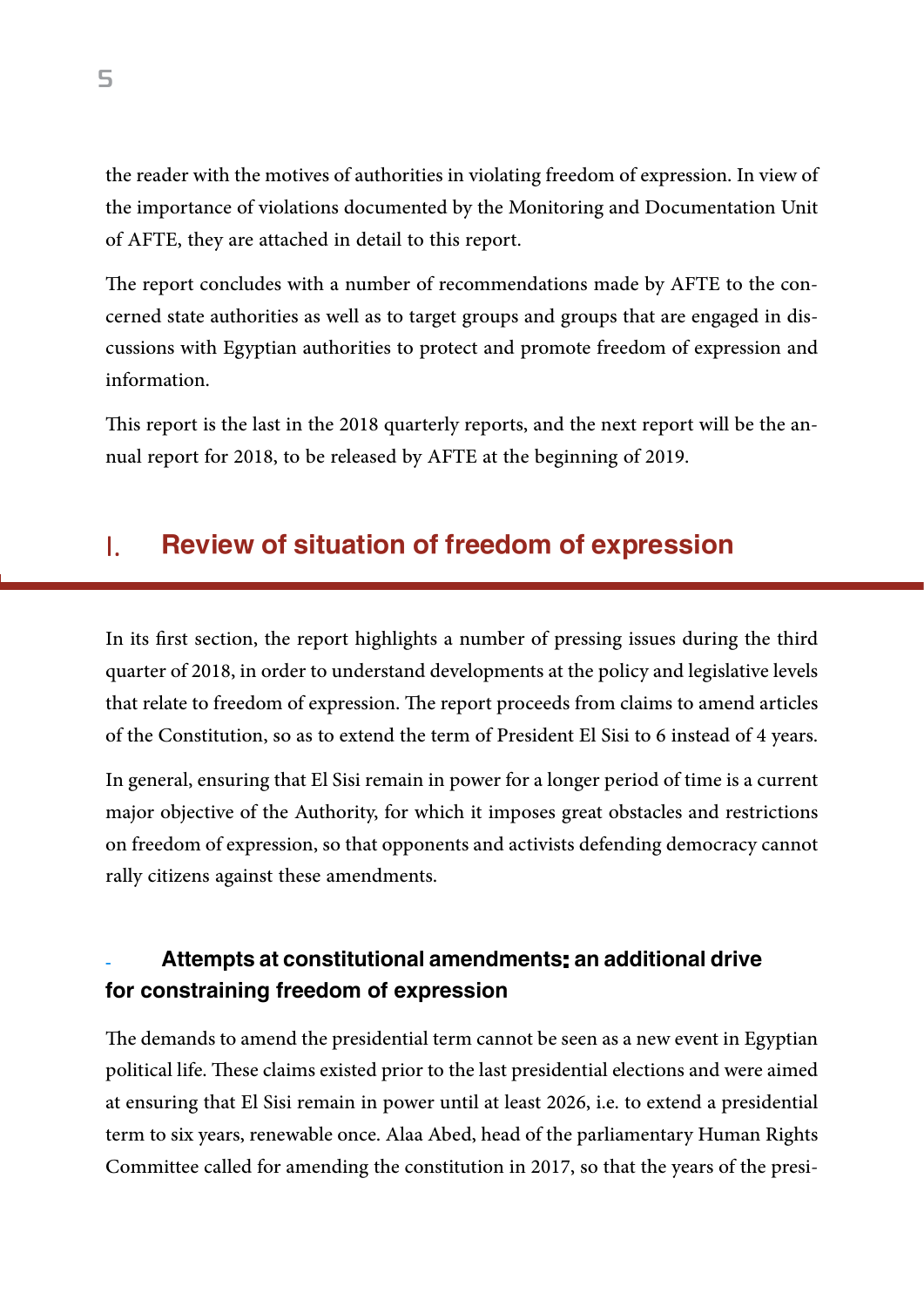the reader with the motives of authorities in violating freedom of expression. In view of the importance of violations documented by the Monitoring and Documentation Unit of AFTE, they are attached in detail to this report.

The report concludes with a number of recommendations made by AFTE to the concerned state authorities as well as to target groups and groups that are engaged in discussions with Egyptian authorities to protect and promote freedom of expression and information.

This report is the last in the 2018 quarterly reports, and the next report will be the annual report for 2018, to be released by AFTE at the beginning of 2019.

## I. Review of situation of freedom of expression

In its first section, the report highlights a number of pressing issues during the third quarter of 2018, in order to understand developments at the policy and legislative levels that relate to freedom of expression. The report proceeds from claims to amend articles of the Constitution, so as to extend the term of President El Sisi to 6 instead of 4 years.

In general, ensuring that El Sisi remain in power for a longer period of time is a current major objective of the Authority, for which it imposes great obstacles and restrictions on freedom of expression, so that opponents and activists defending democracy cannot rally citizens against these amendments.

### Attempts at constitutional amendments: an additional drive for constraining freedom of expression

The demands to amend the presidential term cannot be seen as a new event in Egyptian political life. These claims existed prior to the last presidential elections and were aimed at ensuring that El Sisi remain in power until at least 2026, i.e. to extend a presidential term to six years, renewable once. Alaa Abed, head of the parliamentary Human Rights Committee called for amending the constitution in 2017, so that the years of the presi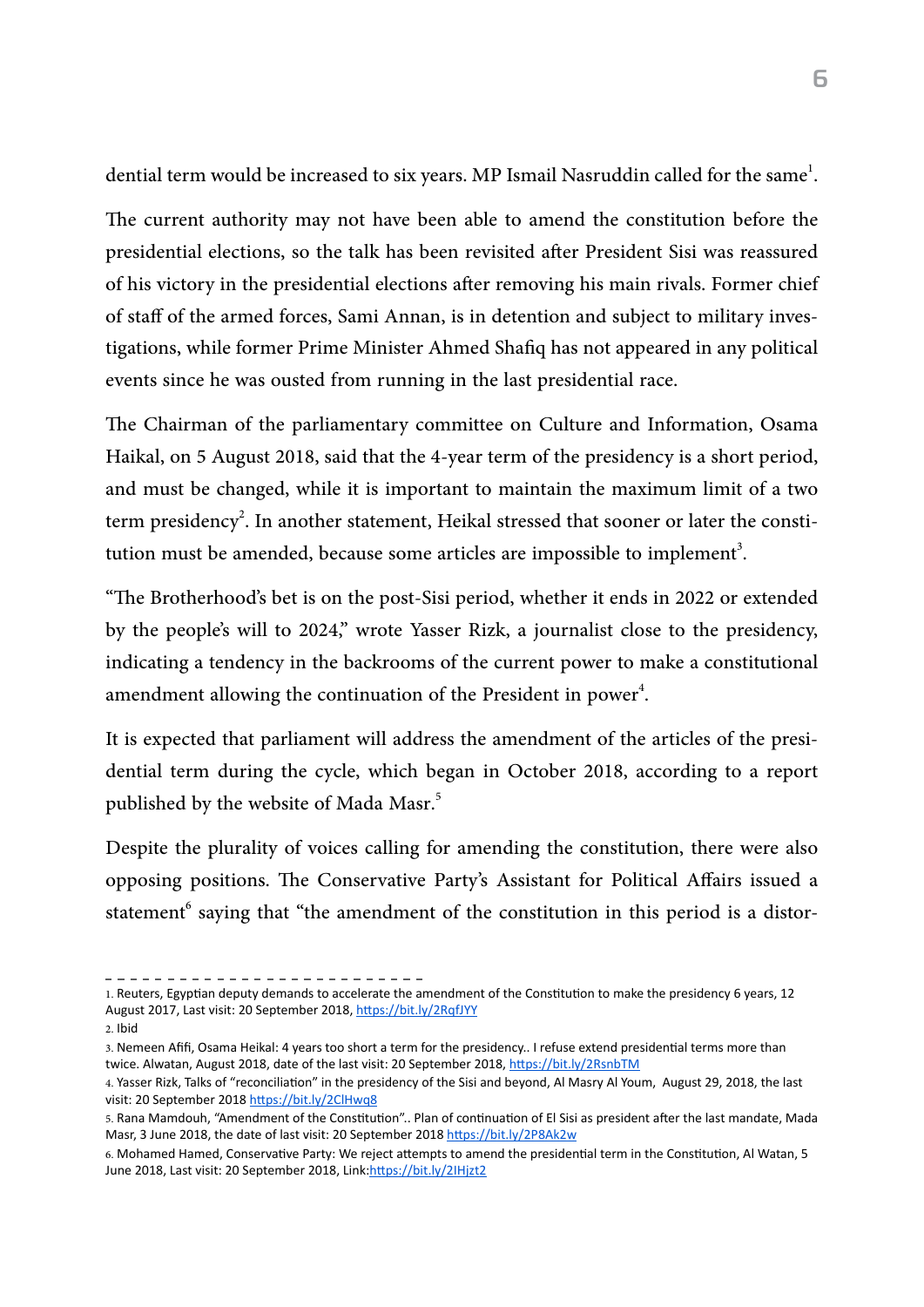dential term would be increased to six years. MP Ismail Nasruddin called for the same<sup>1</sup>. .

The current authority may not have been able to amend the constitution before the presidential elections, so the talk has been revisited after President Sisi was reassured of his victory in the presidential elections after removing his main rivals. Former chief of staff of the armed forces, Sami Annan, is in detention and subject to military investigations, while former Prime Minister Ahmed Shafiq has not appeared in any political events since he was ousted from running in the last presidential race.

The Chairman of the parliamentary committee on Culture and Information, Osama Haikal, on 5 August 2018, said that the 4-year term of the presidency is a short period, and must be changed, while it is important to maintain the maximum limit of a two term presidency<sup>2</sup>. In another statement, Heikal stressed that sooner or later the constitution must be amended, because some articles are impossible to implement<sup>3</sup>. .

"The Brotherhood's bet is on the post-Sisi period, whether it ends in 2022 or extended by the people's will to 2024," wrote Yasser Rizk, a journalist close to the presidency, indicating a tendency in the backrooms of the current power to make a constitutional amendment allowing the continuation of the President in power<sup>4</sup>. .

It is expected that parliament will address the amendment of the articles of the presidential term during the cycle, which began in October 2018, according to a report published by the website of Mada Masr. 5

Despite the plurality of voices calling for amending the constitution, there were also opposing positions. The Conservative Party's Assistant for Political Affairs issued a statement<sup>6</sup> saying that "the amendment of the constitution in this period is a distor-

<sup>1.</sup> Reuters, Egyptian deputy demands to accelerate the amendment of the Constitution to make the presidency 6 years, 12 August 2017, Last visit: 20 September 2018, <https://bit.ly/2RqfJYY>

<sup>2.</sup> Ibid

<sup>3.</sup> Nemeen Afifi, Osama Heikal: 4 years too short a term for the presidency.. I refuse extend presidential terms more than twice. Alwatan, August 2018, date of the last visit: 20 September 2018, <https://bit.ly/2RsnbTM>

<sup>4.</sup> Yasser Rizk, Talks of "reconciliation" in the presidency of the Sisi and beyond, Al Masry Al Youm, August 29, 2018, the last visit: 20 September 2018 <https://bit.ly/2ClHwq8>

<sup>5.</sup> Rana Mamdouh, "Amendment of the Constitution".. Plan of continuation of El Sisi as president after the last mandate, Mada Masr, 3 June 2018, the date of last visit: 20 September 2018 <https://bit.ly/2P8Ak2w>

<sup>6.</sup> Mohamed Hamed, Conservative Party: We reject attempts to amend the presidential term in the Constitution, Al Watan, 5 June 2018, Last visit: 20 September 2018, Link[:https://bit.ly/2IHjzt2](https://bit.ly/2IHjzt2)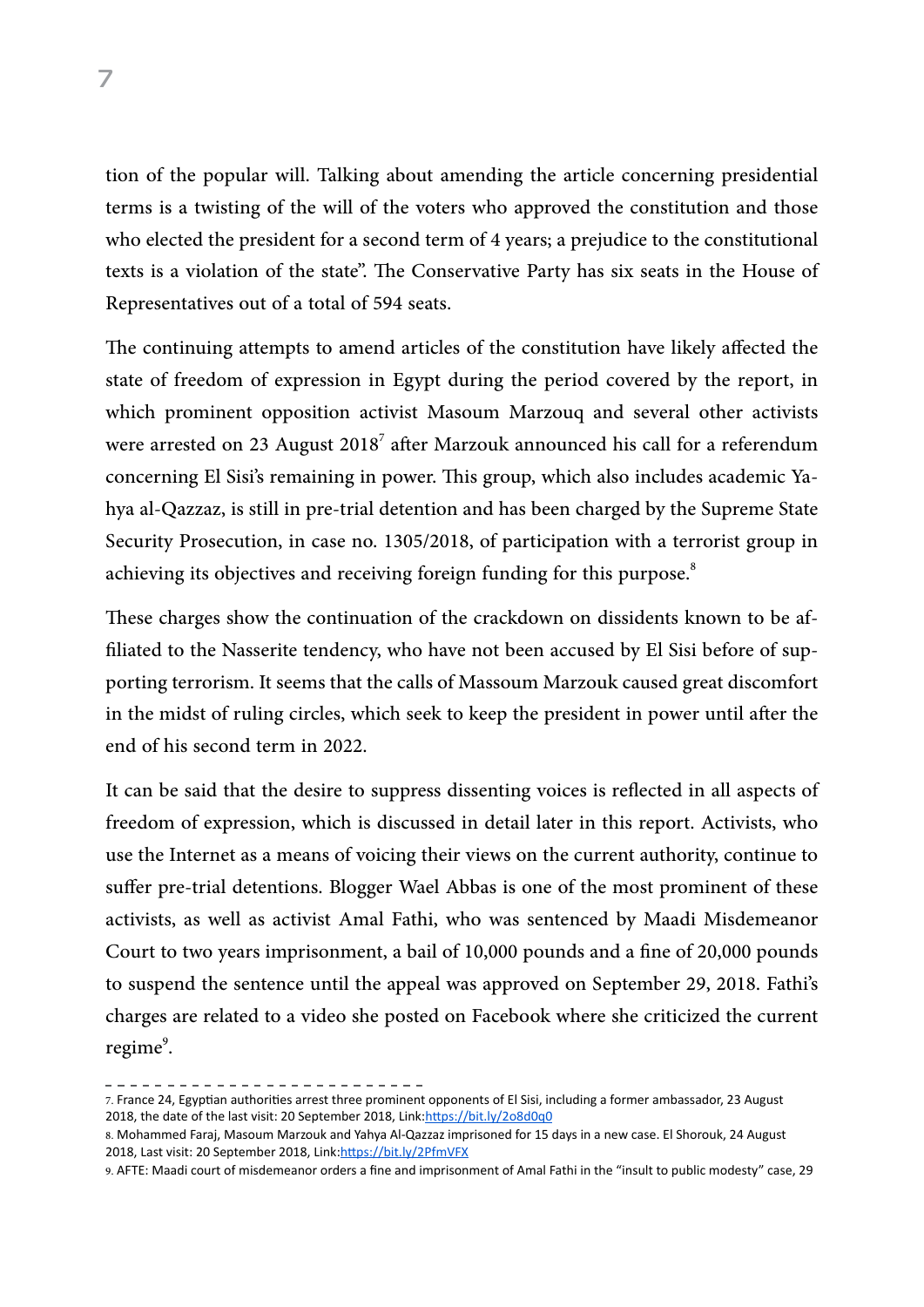tion of the popular will. Talking about amending the article concerning presidential terms is a twisting of the will of the voters who approved the constitution and those who elected the president for a second term of 4 years; a prejudice to the constitutional texts is a violation of the state". The Conservative Party has six seats in the House of Representatives out of a total of 594 seats.

The continuing attempts to amend articles of the constitution have likely affected the state of freedom of expression in Egypt during the period covered by the report, in which prominent opposition activist Masoum Marzouq and several other activists were arrested on 23 August 2018 $^7$  after Marzouk announced his call for a referendum concerning El Sisi's remaining in power. This group, which also includes academic Yahya al-Qazzaz, is still in pre-trial detention and has been charged by the Supreme State Security Prosecution, in case no. 1305/2018, of participation with a terrorist group in achieving its objectives and receiving foreign funding for this purpose.<sup>8</sup>

These charges show the continuation of the crackdown on dissidents known to be affiliated to the Nasserite tendency, who have not been accused by El Sisi before of supporting terrorism. It seems that the calls of Massoum Marzouk caused great discomfort in the midst of ruling circles, which seek to keep the president in power until after the end of his second term in 2022.

It can be said that the desire to suppress dissenting voices is reflected in all aspects of freedom of expression, which is discussed in detail later in this report. Activists, who use the Internet as a means of voicing their views on the current authority, continue to suffer pre-trial detentions. Blogger Wael Abbas is one of the most prominent of these activists, as well as activist Amal Fathi, who was sentenced by Maadi Misdemeanor Court to two years imprisonment, a bail of 10,000 pounds and a fine of 20,000 pounds to suspend the sentence until the appeal was approved on September 29, 2018. Fathi's charges are related to a video she posted on Facebook where she criticized the current  $regime<sup>9</sup>$ . .

<sup>7.</sup> France 24, Egyptian authorities arrest three prominent opponents of El Sisi, including a former ambassador, 23 August 2018, the date of the last visit: 20 September 2018, Link[:https://bit.ly/2o8d0q0](https://bit.ly/2o8d0q0)

<sup>8.</sup> Mohammed Faraj, Masoum Marzouk and Yahya Al-Qazzaz imprisoned for 15 days in a new case. El Shorouk, 24 August 2018, Last visit: 20 September 2018, Link[:https://bit.ly/2PfmVFX](https://bit.ly/2PfmVFX)

<sup>9.</sup> AFTE: Maadi court of misdemeanor orders a fine and imprisonment of Amal Fathi in the "insult to public modesty" case, 29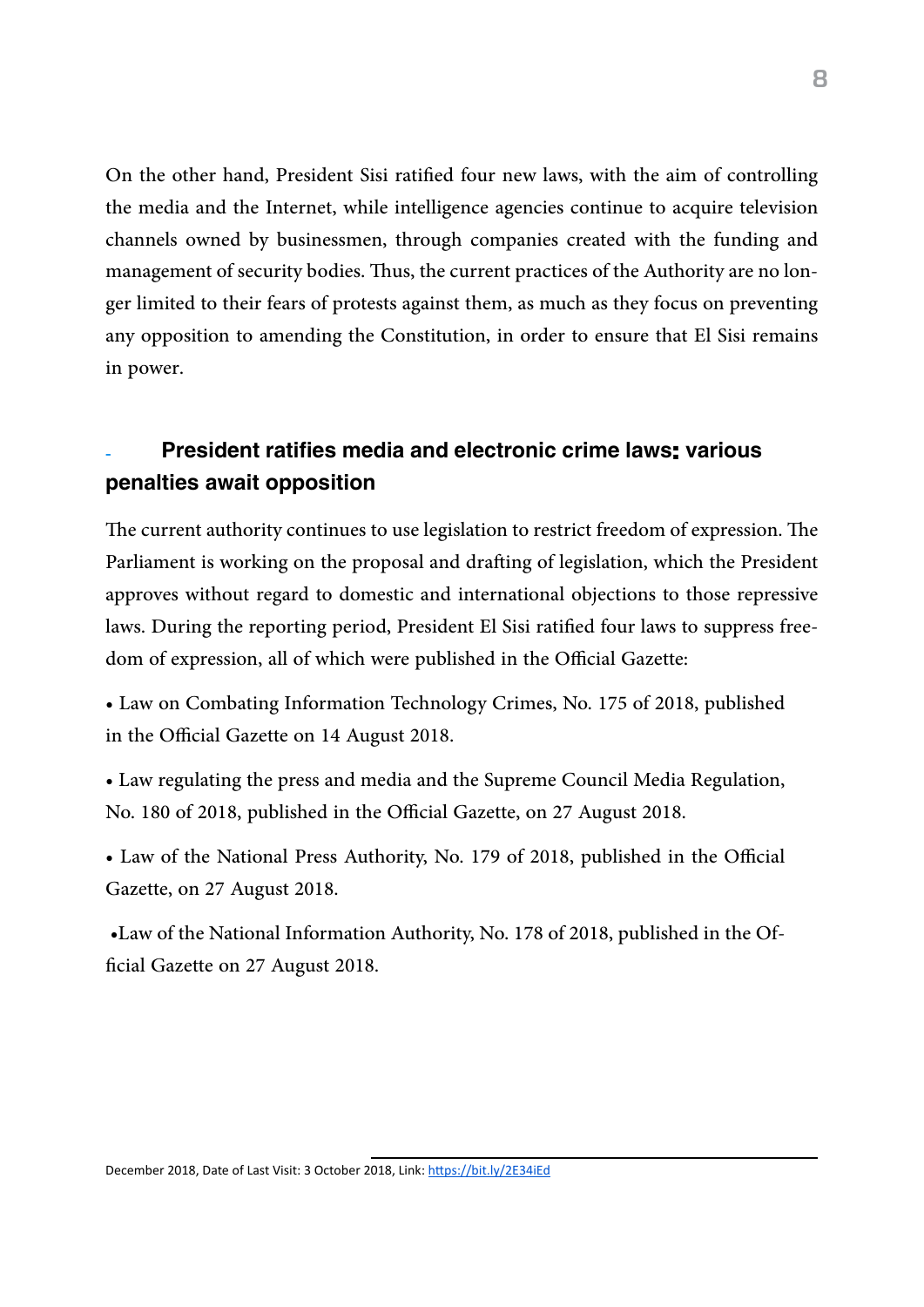On the other hand, President Sisi ratified four new laws, with the aim of controlling the media and the Internet, while intelligence agencies continue to acquire television channels owned by businessmen, through companies created with the funding and management of security bodies. Thus, the current practices of the Authority are no longer limited to their fears of protests against them, as much as they focus on preventing any opposition to amending the Constitution, in order to ensure that El Sisi remains in power.

## President ratifies media and electronic crime laws: various penalties await opposition

The current authority continues to use legislation to restrict freedom of expression. The Parliament is working on the proposal and drafting of legislation, which the President approves without regard to domestic and international objections to those repressive laws. During the reporting period, President El Sisi ratified four laws to suppress freedom of expression, all of which were published in the Official Gazette:

• Law on Combating Information Technology Crimes, No. 175 of 2018, published in the Official Gazette on 14 August 2018.

• Law regulating the press and media and the Supreme Council Media Regulation, No. 180 of 2018, published in the Official Gazette, on 27 August 2018.

• Law of the National Press Authority, No. 179 of 2018, published in the Official Gazette, on 27 August 2018.

 •Law of the National Information Authority, No. 178 of 2018, published in the Official Gazette on 27 August 2018.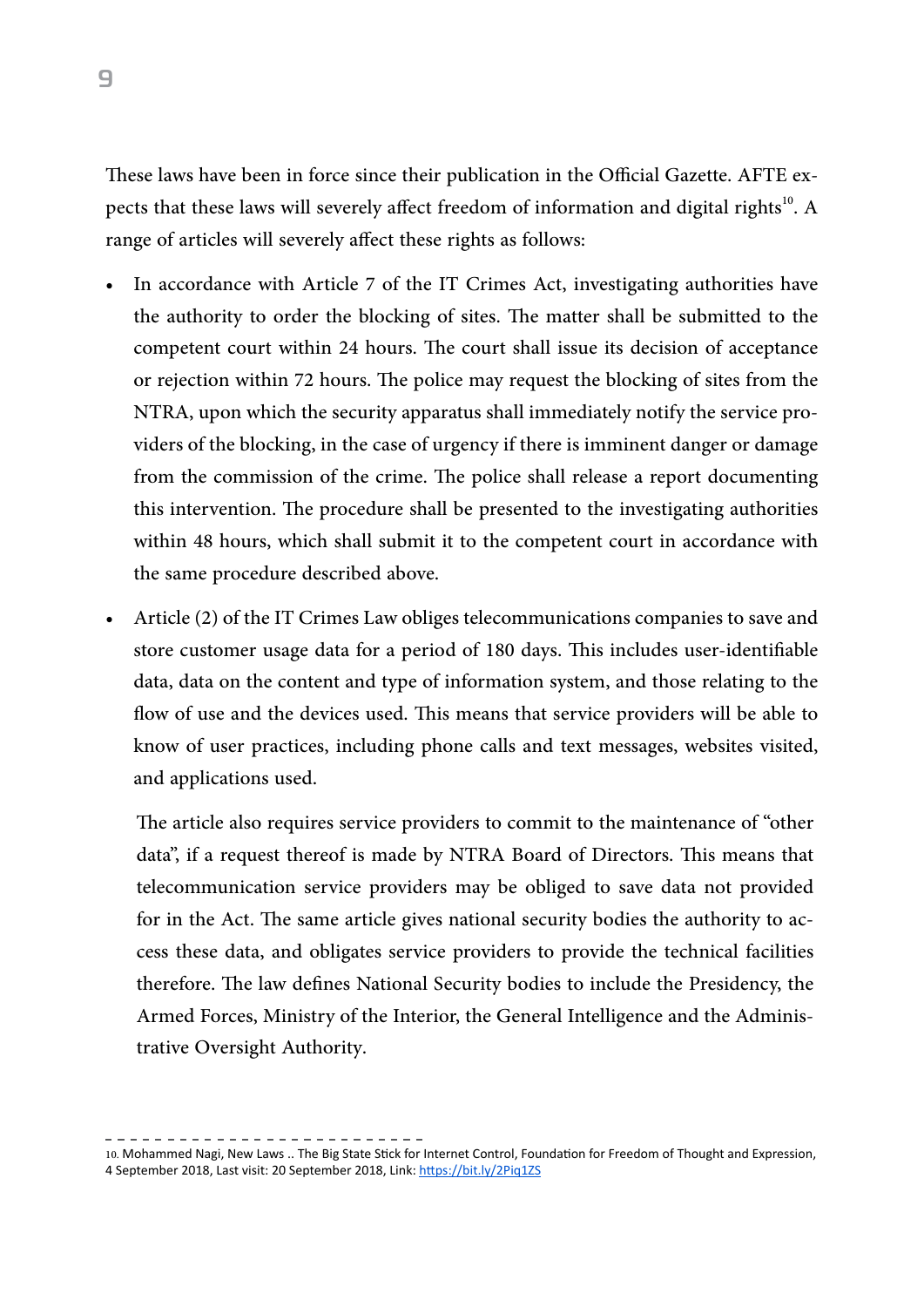These laws have been in force since their publication in the Official Gazette. AFTE expects that these laws will severely affect freedom of information and digital rights<sup>10</sup>. A range of articles will severely affect these rights as follows:

- In accordance with Article 7 of the IT Crimes Act, investigating authorities have the authority to order the blocking of sites. The matter shall be submitted to the competent court within 24 hours. The court shall issue its decision of acceptance or rejection within 72 hours. The police may request the blocking of sites from the NTRA, upon which the security apparatus shall immediately notify the service providers of the blocking, in the case of urgency if there is imminent danger or damage from the commission of the crime. The police shall release a report documenting this intervention. The procedure shall be presented to the investigating authorities within 48 hours, which shall submit it to the competent court in accordance with the same procedure described above.
- Article (2) of the IT Crimes Law obliges telecommunications companies to save and store customer usage data for a period of 180 days. This includes user-identifiable data, data on the content and type of information system, and those relating to the flow of use and the devices used. This means that service providers will be able to know of user practices, including phone calls and text messages, websites visited, and applications used.

The article also requires service providers to commit to the maintenance of "other data", if a request thereof is made by NTRA Board of Directors. This means that telecommunication service providers may be obliged to save data not provided for in the Act. The same article gives national security bodies the authority to access these data, and obligates service providers to provide the technical facilities therefore. The law defines National Security bodies to include the Presidency, the Armed Forces, Ministry of the Interior, the General Intelligence and the Administrative Oversight Authority.

10. Mohammed Nagi, New Laws .. The Big State Stick for Internet Control, Foundation for Freedom of Thought and Expression, 4 September 2018, Last visit: 20 September 2018, Link: <https://bit.ly/2Piq1ZS>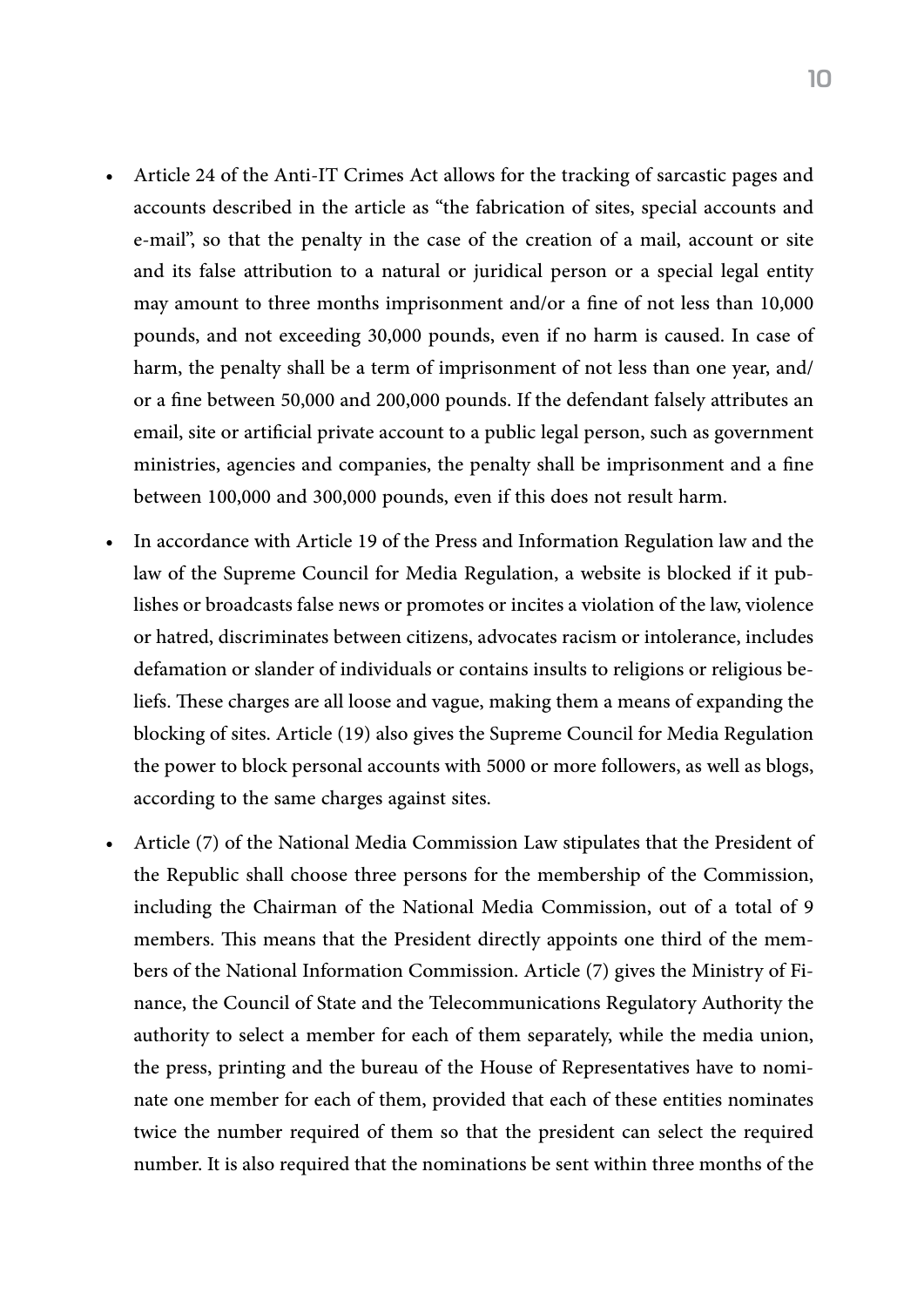- Article 24 of the Anti-IT Crimes Act allows for the tracking of sarcastic pages and accounts described in the article as "the fabrication of sites, special accounts and e-mail", so that the penalty in the case of the creation of a mail, account or site and its false attribution to a natural or juridical person or a special legal entity may amount to three months imprisonment and/or a fine of not less than 10,000 pounds, and not exceeding 30,000 pounds, even if no harm is caused. In case of harm, the penalty shall be a term of imprisonment of not less than one year, and/ or a fine between 50,000 and 200,000 pounds. If the defendant falsely attributes an email, site or artificial private account to a public legal person, such as government ministries, agencies and companies, the penalty shall be imprisonment and a fine between 100,000 and 300,000 pounds, even if this does not result harm.
- In accordance with Article 19 of the Press and Information Regulation law and the law of the Supreme Council for Media Regulation, a website is blocked if it publishes or broadcasts false news or promotes or incites a violation of the law, violence or hatred, discriminates between citizens, advocates racism or intolerance, includes defamation or slander of individuals or contains insults to religions or religious beliefs. These charges are all loose and vague, making them a means of expanding the blocking of sites. Article (19) also gives the Supreme Council for Media Regulation the power to block personal accounts with 5000 or more followers, as well as blogs, according to the same charges against sites.
- Article (7) of the National Media Commission Law stipulates that the President of the Republic shall choose three persons for the membership of the Commission, including the Chairman of the National Media Commission, out of a total of 9 members. This means that the President directly appoints one third of the members of the National Information Commission. Article (7) gives the Ministry of Finance, the Council of State and the Telecommunications Regulatory Authority the authority to select a member for each of them separately, while the media union, the press, printing and the bureau of the House of Representatives have to nominate one member for each of them, provided that each of these entities nominates twice the number required of them so that the president can select the required number. It is also required that the nominations be sent within three months of the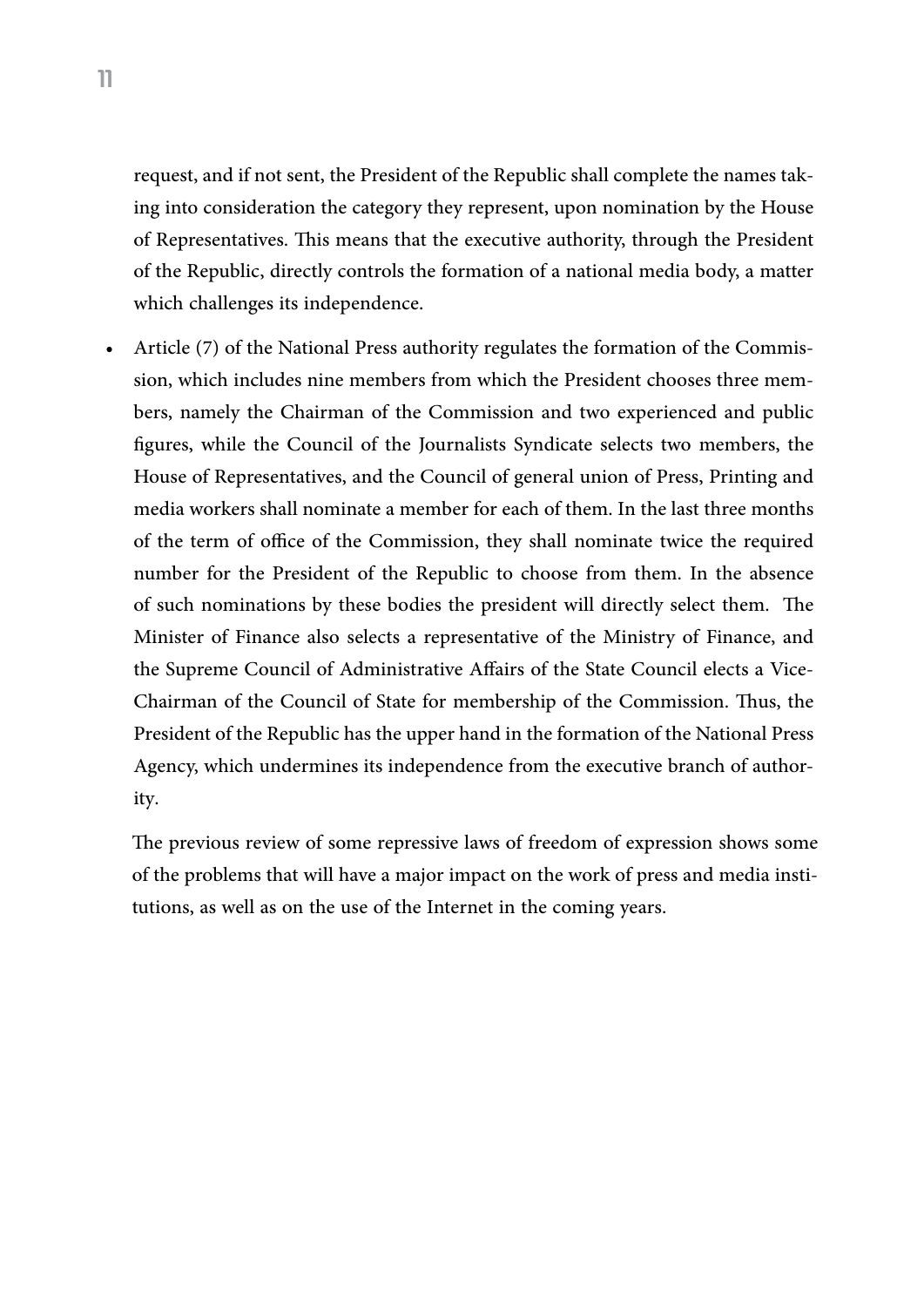request, and if not sent, the President of the Republic shall complete the names taking into consideration the category they represent, upon nomination by the House of Representatives. This means that the executive authority, through the President of the Republic, directly controls the formation of a national media body, a matter which challenges its independence.

• Article (7) of the National Press authority regulates the formation of the Commission, which includes nine members from which the President chooses three members, namely the Chairman of the Commission and two experienced and public figures, while the Council of the Journalists Syndicate selects two members, the House of Representatives, and the Council of general union of Press, Printing and media workers shall nominate a member for each of them. In the last three months of the term of office of the Commission, they shall nominate twice the required number for the President of the Republic to choose from them. In the absence of such nominations by these bodies the president will directly select them. The Minister of Finance also selects a representative of the Ministry of Finance, and the Supreme Council of Administrative Affairs of the State Council elects a Vice-Chairman of the Council of State for membership of the Commission. Thus, the President of the Republic has the upper hand in the formation of the National Press Agency, which undermines its independence from the executive branch of authority.

The previous review of some repressive laws of freedom of expression shows some of the problems that will have a major impact on the work of press and media institutions, as well as on the use of the Internet in the coming years.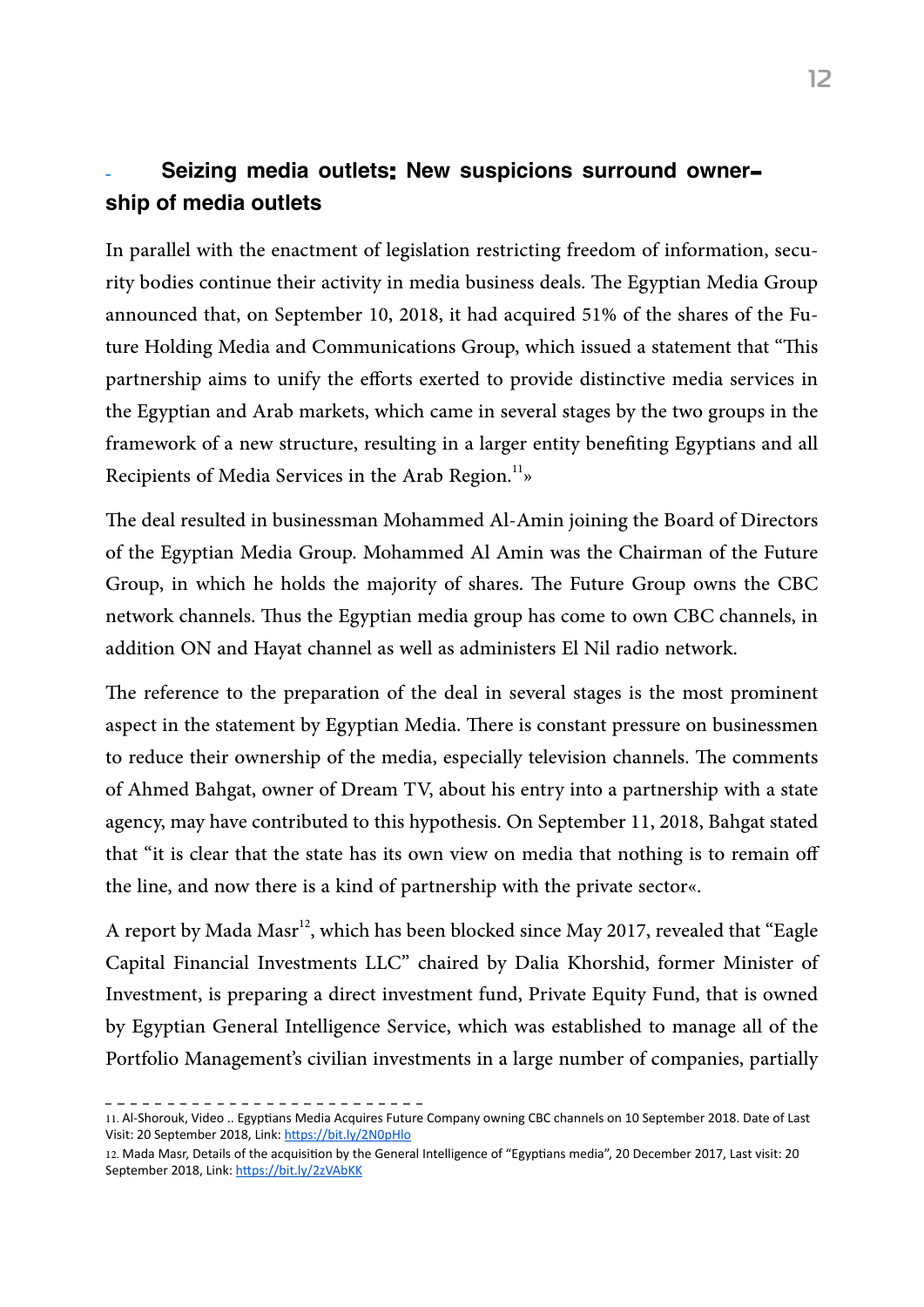### Seizing media outlets: New suspicions surround ownership of media outlets

In parallel with the enactment of legislation restricting freedom of information, security bodies continue their activity in media business deals. The Egyptian Media Group announced that, on September 10, 2018, it had acquired 51% of the shares of the Future Holding Media and Communications Group, which issued a statement that "This partnership aims to unify the efforts exerted to provide distinctive media services in the Egyptian and Arab markets, which came in several stages by the two groups in the framework of a new structure, resulting in a larger entity benefiting Egyptians and all Recipients of Media Services in the Arab Region. $^{11}_{\phantom{1}3}$ 

The deal resulted in businessman Mohammed Al-Amin joining the Board of Directors of the Egyptian Media Group. Mohammed Al Amin was the Chairman of the Future Group, in which he holds the majority of shares. The Future Group owns the CBC network channels. Thus the Egyptian media group has come to own CBC channels, in addition ON and Hayat channel as well as administers El Nil radio network.

The reference to the preparation of the deal in several stages is the most prominent aspect in the statement by Egyptian Media. There is constant pressure on businessmen to reduce their ownership of the media, especially television channels. The comments of Ahmed Bahgat, owner of Dream TV, about his entry into a partnership with a state agency, may have contributed to this hypothesis. On September 11, 2018, Bahgat stated that "it is clear that the state has its own view on media that nothing is to remain off the line, and now there is a kind of partnership with the private sector».

A report by Mada Masr<sup>12</sup>, which has been blocked since May 2017, revealed that "Eagle" Capital Financial Investments LLC" chaired by Dalia Khorshid, former Minister of Investment, is preparing a direct investment fund, Private Equity Fund, that is owned by Egyptian General Intelligence Service, which was established to manage all of the Portfolio Management's civilian investments in a large number of companies, partially

<sup>11.</sup> Al-Shorouk, Video .. Egyptians Media Acquires Future Company owning CBC channels on 10 September 2018. Date of Last Visit: 20 September 2018, Link: <https://bit.ly/2N0pHlo>

<sup>12.</sup> Mada Masr, Details of the acquisition by the General Intelligence of "Egyptians media", 20 December 2017, Last visit: 20 September 2018, Link: <https://bit.ly/2zVAbKK>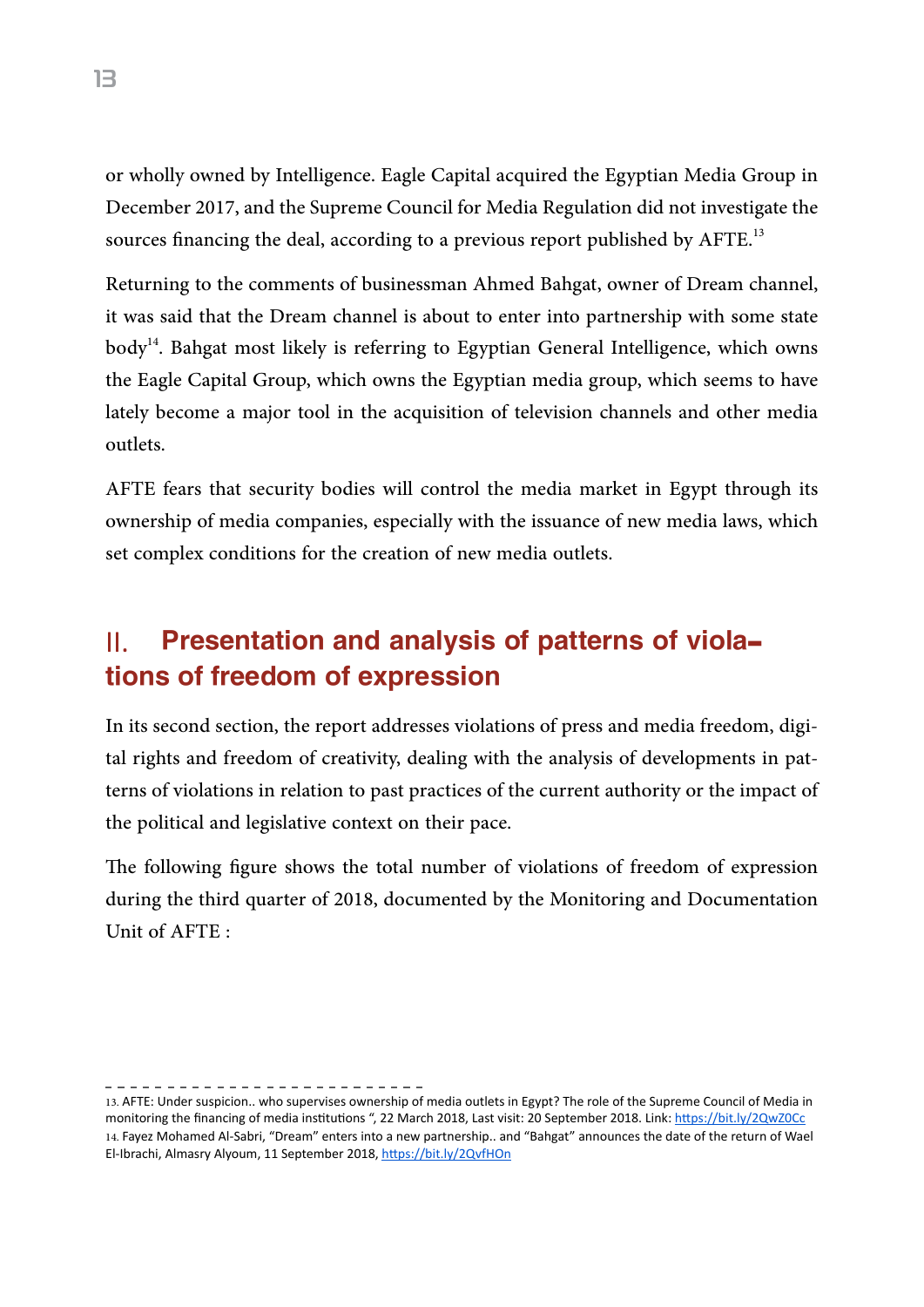or wholly owned by Intelligence. Eagle Capital acquired the Egyptian Media Group in December 2017, and the Supreme Council for Media Regulation did not investigate the sources financing the deal, according to a previous report published by  $\mathrm{AFFE}^{^{13}}$ 

Returning to the comments of businessman Ahmed Bahgat, owner of Dream channel, it was said that the Dream channel is about to enter into partnership with some state  $body<sup>14</sup>$ . Bahgat most likely is referring to Egyptian General Intelligence, which owns the Eagle Capital Group, which owns the Egyptian media group, which seems to have lately become a major tool in the acquisition of television channels and other media outlets.

AFTE fears that security bodies will control the media market in Egypt through its ownership of media companies, especially with the issuance of new media laws, which set complex conditions for the creation of new media outlets.

# II. Presentation and analysis of patterns of violations of freedom of expression

In its second section, the report addresses violations of press and media freedom, digital rights and freedom of creativity, dealing with the analysis of developments in patterns of violations in relation to past practices of the current authority or the impact of the political and legislative context on their pace.

The following figure shows the total number of violations of freedom of expression during the third quarter of 2018, documented by the Monitoring and Documentation Unit of AFTE :

. . . . . . . . . . . . . . . . . . . .

<sup>13.</sup> AFTE: Under suspicion.. who supervises ownership of media outlets in Egypt? The role of the Supreme Council of Media in monitoring the financing of media institutions ", 22 March 2018, Last visit: 20 September 2018. Link: <https://bit.ly/2QwZ0Cc> 14. Fayez Mohamed Al-Sabri, "Dream" enters into a new partnership.. and "Bahgat" announces the date of the return of Wael El-Ibrachi, Almasry Alyoum, 11 September 2018, <https://bit.ly/2QvfHOn>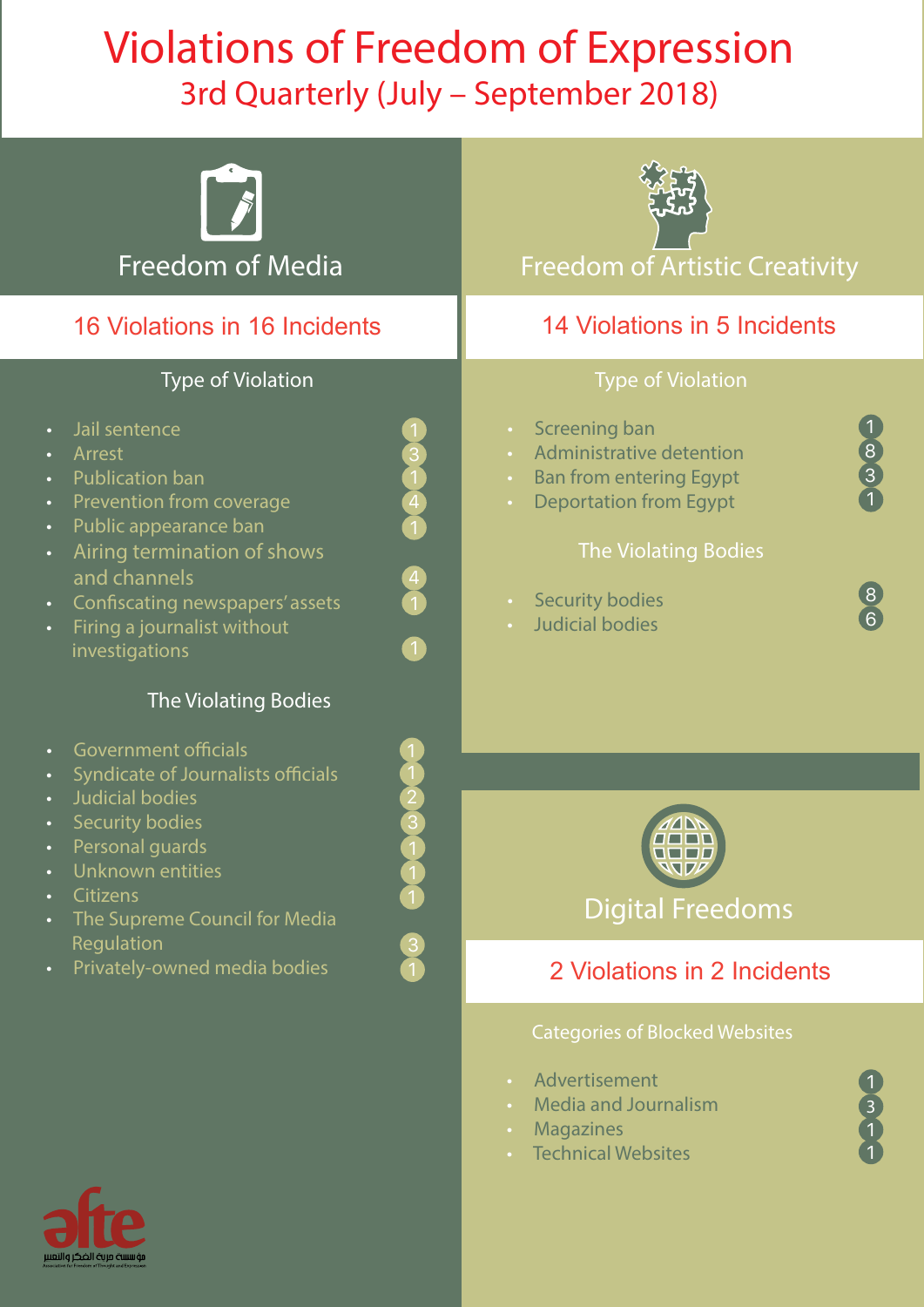# Violations of Freedom of Expression 3rd Quarterly (July – September 2018)

| Freedom of Media<br>16 Violations in 16 Incidents                                                                                                                                                                                                                                                                                                                | <b>Freedom of Artistic Creativity</b><br>14 Violations in 5 Incidents                                                                                                                                                                                                                                                                        |
|------------------------------------------------------------------------------------------------------------------------------------------------------------------------------------------------------------------------------------------------------------------------------------------------------------------------------------------------------------------|----------------------------------------------------------------------------------------------------------------------------------------------------------------------------------------------------------------------------------------------------------------------------------------------------------------------------------------------|
|                                                                                                                                                                                                                                                                                                                                                                  |                                                                                                                                                                                                                                                                                                                                              |
| <b>Type of Violation</b><br>Jail sentence<br>$\bullet$<br>Arrest<br>Publication ban<br>$\bullet$<br>Prevention from coverage<br>$\left  \right $<br>$\bullet$<br>Public appearance ban<br>$\bullet$<br>Airing termination of shows<br>$\bullet$<br>and channels<br>Confiscating newspapers' assets<br>$\bullet$<br>Firing a journalist without<br>investigations | <b>Type of Violation</b><br><b>Screening ban</b><br>$\bullet$ .<br>$\begin{array}{c}\n8 \\ 3 \\ 1\n\end{array}$<br>Administrative detention<br><b>Ban from entering Egypt</b><br>$\bullet$ .<br><b>Deportation from Egypt</b><br>$\bullet$<br><b>The Violating Bodies</b><br><b>Security bodies</b><br>$\bullet$ .<br><b>Judicial bodies</b> |
| The Violating Bodies                                                                                                                                                                                                                                                                                                                                             |                                                                                                                                                                                                                                                                                                                                              |
| <b>Government officials</b><br>Syndicate of Journalists officials<br>Judicial bodies<br><b>Security bodies</b><br>Personal guards<br>$\bullet$<br>Unknown entities<br>$\bullet$<br><b>Citizens</b><br>۰<br>The Supreme Council for Media<br>o                                                                                                                    | <b>Digital Freedoms</b>                                                                                                                                                                                                                                                                                                                      |
| Regulation<br>Privately-owned media bodies<br>$\bullet$                                                                                                                                                                                                                                                                                                          | 2 Violations in 2 Incidents                                                                                                                                                                                                                                                                                                                  |
|                                                                                                                                                                                                                                                                                                                                                                  | <b>Categories of Blocked Websites</b><br>Advertisement<br>$\bullet$<br><b>Media and Journalism</b><br><b>Magazines</b><br><b>Technical Websites</b>                                                                                                                                                                                          |

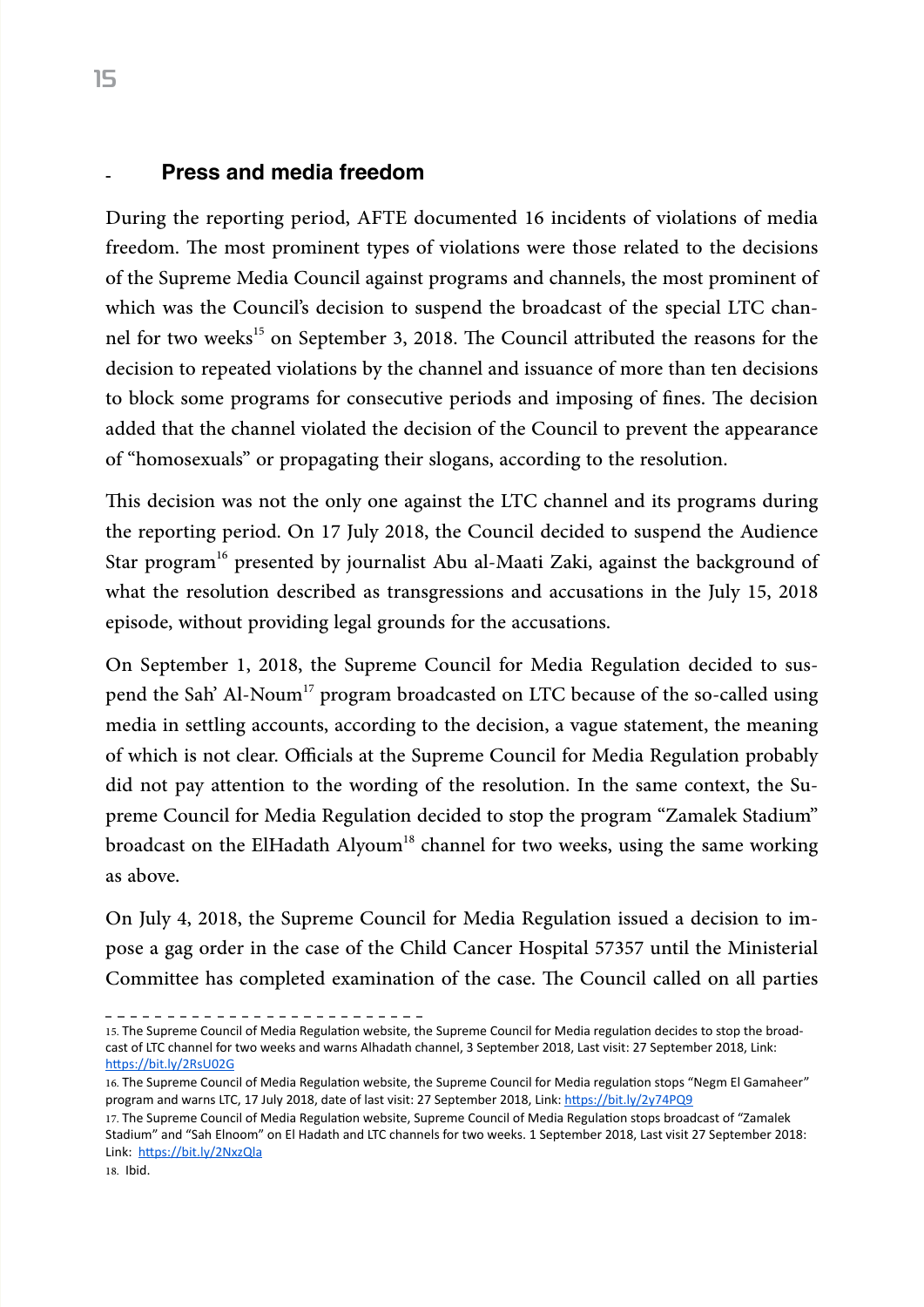#### Press and media freedom

During the reporting period, AFTE documented 16 incidents of violations of media freedom. The most prominent types of violations were those related to the decisions of the Supreme Media Council against programs and channels, the most prominent of which was the Council's decision to suspend the broadcast of the special LTC channel for two weeks<sup>15</sup> on September 3, 2018. The Council attributed the reasons for the decision to repeated violations by the channel and issuance of more than ten decisions to block some programs for consecutive periods and imposing of fines. The decision added that the channel violated the decision of the Council to prevent the appearance of "homosexuals" or propagating their slogans, according to the resolution.

This decision was not the only one against the LTC channel and its programs during the reporting period. On 17 July 2018, the Council decided to suspend the Audience Star program<sup>16</sup> presented by journalist Abu al-Maati Zaki, against the background of what the resolution described as transgressions and accusations in the July 15, 2018 episode, without providing legal grounds for the accusations.

On September 1, 2018, the Supreme Council for Media Regulation decided to suspend the Sah' Al-Noum<sup>17</sup> program broadcasted on LTC because of the so-called using media in settling accounts, according to the decision, a vague statement, the meaning of which is not clear. Officials at the Supreme Council for Media Regulation probably did not pay attention to the wording of the resolution. In the same context, the Supreme Council for Media Regulation decided to stop the program "Zamalek Stadium" broadcast on the ElHadath Alyoum<sup>18</sup> channel for two weeks, using the same working as above.

On July 4, 2018, the Supreme Council for Media Regulation issued a decision to impose a gag order in the case of the Child Cancer Hospital 57357 until the Ministerial Committee has completed examination of the case. The Council called on all parties

<sup>15.</sup> The Supreme Council of Media Regulation website, the Supreme Council for Media regulation decides to stop the broadcast of LTC channel for two weeks and warns Alhadath channel, 3 September 2018, Last visit: 27 September 2018, Link: <https://bit.ly/2RsU02G>

<sup>16.</sup> The Supreme Council of Media Regulation website, the Supreme Council for Media regulation stops "Negm El Gamaheer" program and warns LTC, 17 July 2018, date of last visit: 27 September 2018, Link: <https://bit.ly/2y74PQ9>

<sup>17.</sup> The Supreme Council of Media Regulation website, Supreme Council of Media Regulation stops broadcast of "Zamalek Stadium" and "Sah Elnoom" on El Hadath and LTC channels for two weeks. 1 September 2018, Last visit 27 September 2018: Link:<https://bit.ly/2NxzQla>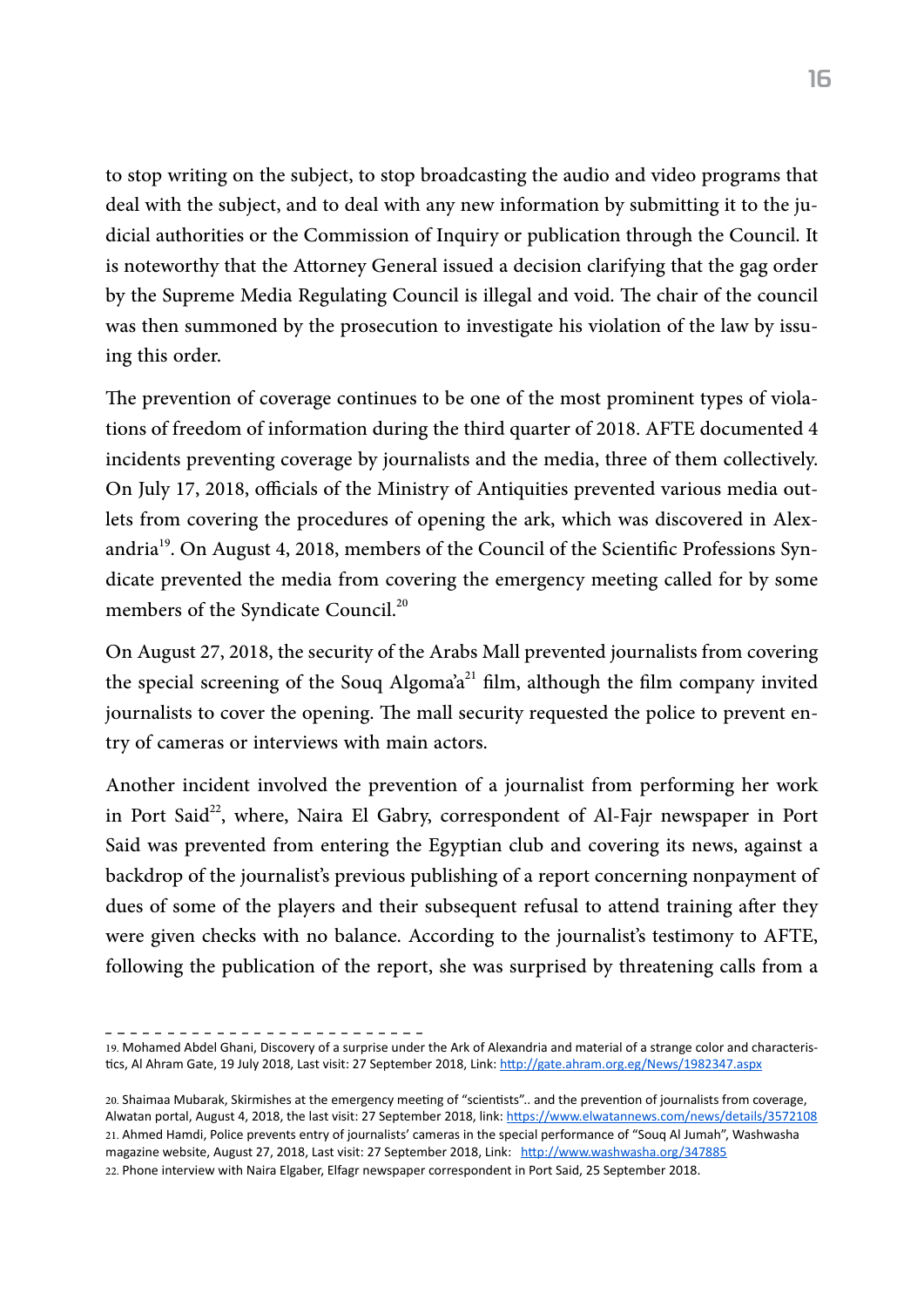to stop writing on the subject, to stop broadcasting the audio and video programs that deal with the subject, and to deal with any new information by submitting it to the judicial authorities or the Commission of Inquiry or publication through the Council. It is noteworthy that the Attorney General issued a decision clarifying that the gag order by the Supreme Media Regulating Council is illegal and void. The chair of the council was then summoned by the prosecution to investigate his violation of the law by issuing this order.

The prevention of coverage continues to be one of the most prominent types of violations of freedom of information during the third quarter of 2018. AFTE documented 4 incidents preventing coverage by journalists and the media, three of them collectively. On July 17, 2018, officials of the Ministry of Antiquities prevented various media outlets from covering the procedures of opening the ark, which was discovered in Alexandria<sup>19</sup>. On August 4, 2018, members of the Council of the Scientific Professions Syndicate prevented the media from covering the emergency meeting called for by some members of the Syndicate Council.<sup>20</sup>

On August 27, 2018, the security of the Arabs Mall prevented journalists from covering the special screening of the Souq Algoma'a<sup>21</sup> film, although the film company invited journalists to cover the opening. The mall security requested the police to prevent entry of cameras or interviews with main actors.

Another incident involved the prevention of a journalist from performing her work in Port Said<sup>22</sup>, where, Naira El Gabry, correspondent of Al-Fajr newspaper in Port Said was prevented from entering the Egyptian club and covering its news, against a backdrop of the journalist's previous publishing of a report concerning nonpayment of dues of some of the players and their subsequent refusal to attend training after they were given checks with no balance. According to the journalist's testimony to AFTE, following the publication of the report, she was surprised by threatening calls from a

<sup>19.</sup> Mohamed Abdel Ghani, Discovery of a surprise under the Ark of Alexandria and material of a strange color and characteristics, Al Ahram Gate, 19 July 2018, Last visit: 27 September 2018, Link: <http://gate.ahram.org.eg/News/1982347.aspx>

<sup>20.</sup> Shaimaa Mubarak, Skirmishes at the emergency meeting of "scientists".. and the prevention of journalists from coverage, Alwatan portal, August 4, 2018, the last visit: 27 September 2018, link: <https://www.elwatannews.com/news/details/3572108> 21. Ahmed Hamdi, Police prevents entry of journalists' cameras in the special performance of "Souq Al Jumah", Washwasha magazine website, August 27, 2018, Last visit: 27 September 2018, Link: <http://www.washwasha.org/347885> 22. Phone interview with Naira Elgaber, Elfagr newspaper correspondent in Port Said, 25 September 2018.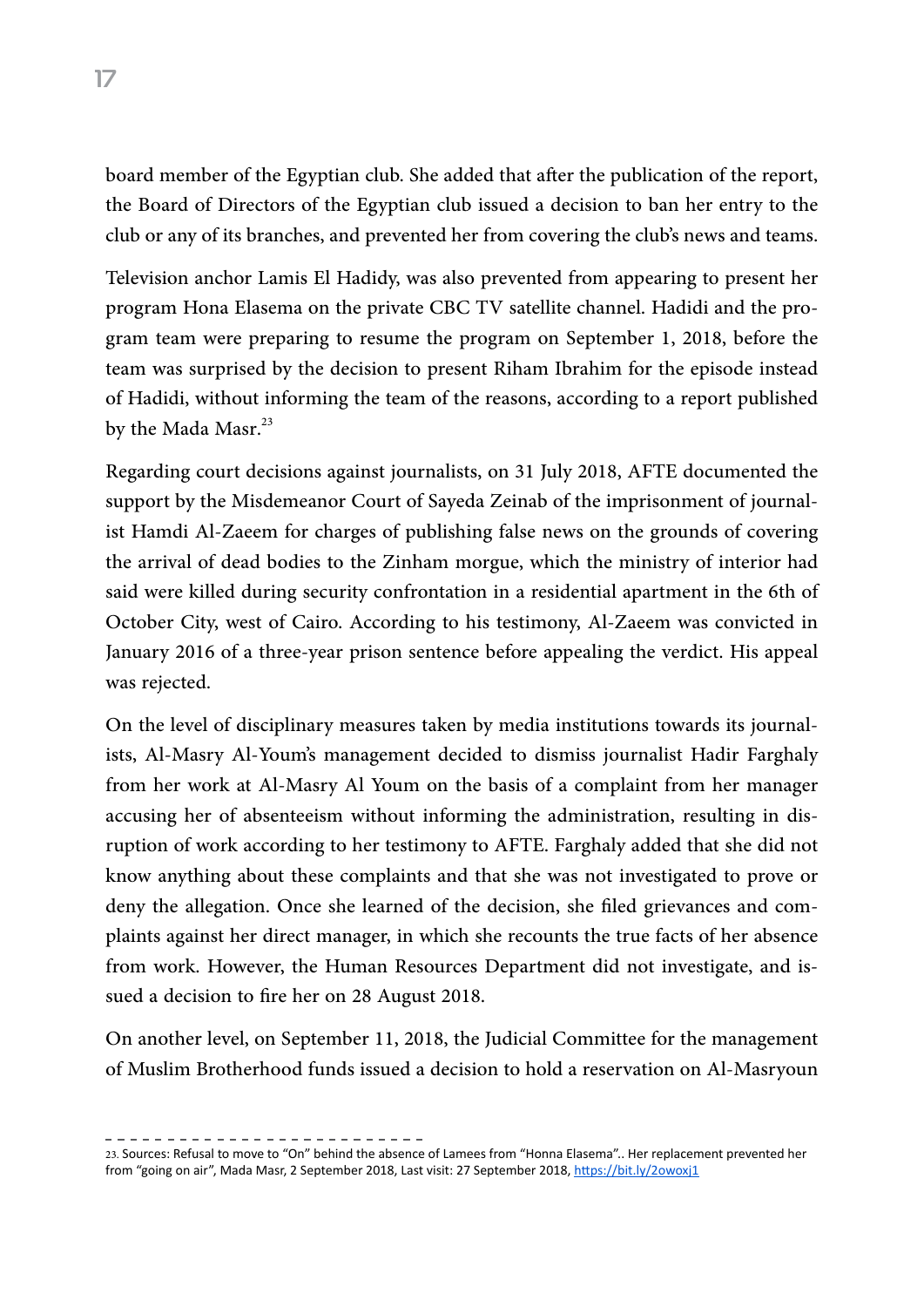board member of the Egyptian club. She added that after the publication of the report, the Board of Directors of the Egyptian club issued a decision to ban her entry to the club or any of its branches, and prevented her from covering the club's news and teams.

Television anchor Lamis El Hadidy, was also prevented from appearing to present her program Hona Elasema on the private CBC TV satellite channel. Hadidi and the program team were preparing to resume the program on September 1, 2018, before the team was surprised by the decision to present Riham Ibrahim for the episode instead of Hadidi, without informing the team of the reasons, according to a report published by the Mada Masr.<sup>23</sup>

Regarding court decisions against journalists, on 31 July 2018, AFTE documented the support by the Misdemeanor Court of Sayeda Zeinab of the imprisonment of journalist Hamdi Al-Zaeem for charges of publishing false news on the grounds of covering the arrival of dead bodies to the Zinham morgue, which the ministry of interior had said were killed during security confrontation in a residential apartment in the 6th of October City, west of Cairo. According to his testimony, Al-Zaeem was convicted in January 2016 of a three-year prison sentence before appealing the verdict. His appeal was rejected.

On the level of disciplinary measures taken by media institutions towards its journalists, Al-Masry Al-Youm's management decided to dismiss journalist Hadir Farghaly from her work at Al-Masry Al Youm on the basis of a complaint from her manager accusing her of absenteeism without informing the administration, resulting in disruption of work according to her testimony to AFTE. Farghaly added that she did not know anything about these complaints and that she was not investigated to prove or deny the allegation. Once she learned of the decision, she filed grievances and complaints against her direct manager, in which she recounts the true facts of her absence from work. However, the Human Resources Department did not investigate, and issued a decision to fire her on 28 August 2018.

On another level, on September 11, 2018, the Judicial Committee for the management of Muslim Brotherhood funds issued a decision to hold a reservation on Al-Masryoun

<sup>23.</sup> Sources: Refusal to move to "On" behind the absence of Lamees from "Honna Elasema".. Her replacement prevented her from "going on air", Mada Masr, 2 September 2018, Last visit: 27 September 2018, <https://bit.ly/2owoxj1>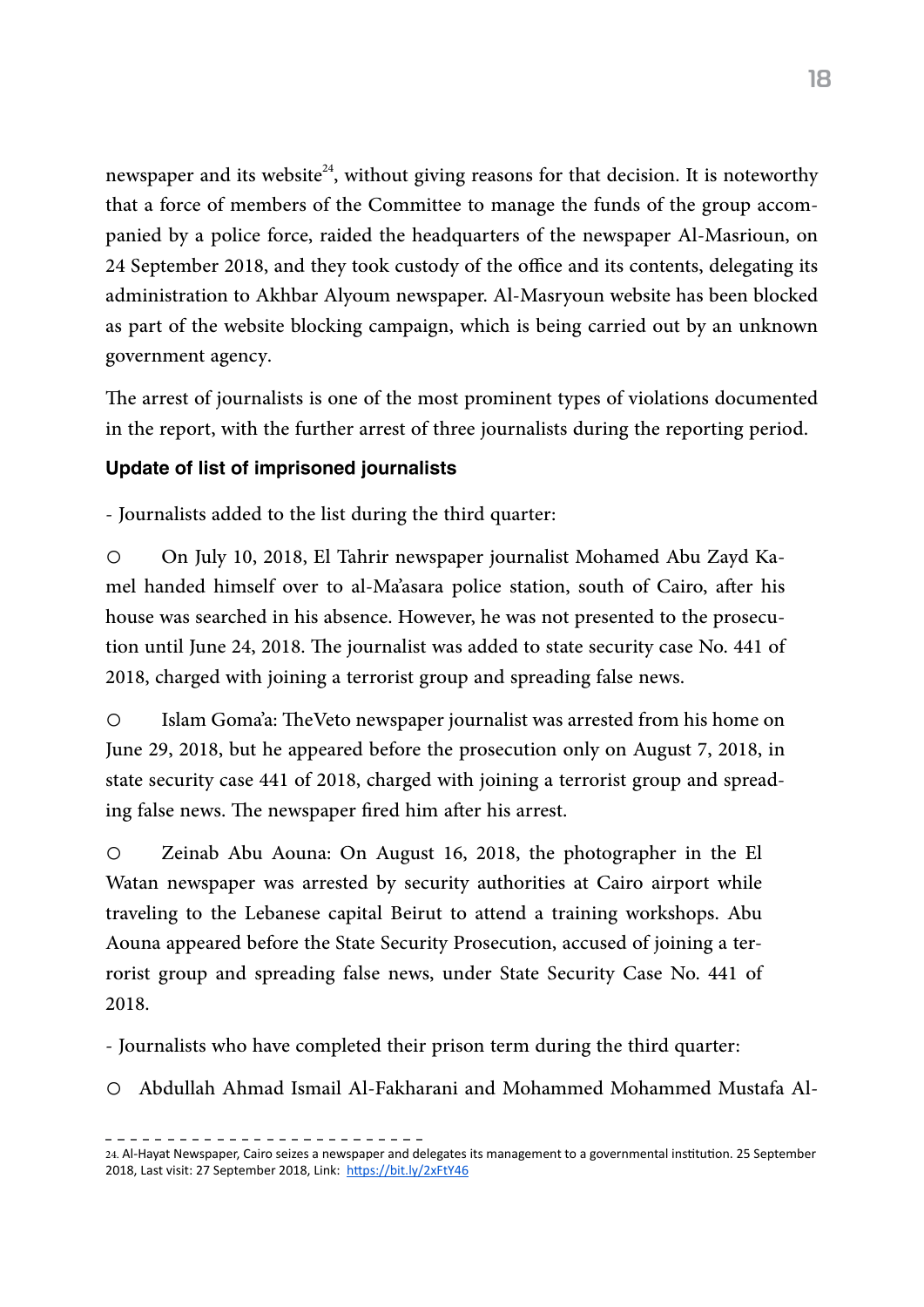newspaper and its website<sup>24</sup>, without giving reasons for that decision. It is noteworthy that a force of members of the Committee to manage the funds of the group accompanied by a police force, raided the headquarters of the newspaper Al-Masrioun, on 24 September 2018, and they took custody of the office and its contents, delegating its administration to Akhbar Alyoum newspaper. Al-Masryoun website has been blocked as part of the website blocking campaign, which is being carried out by an unknown government agency.

The arrest of journalists is one of the most prominent types of violations documented in the report, with the further arrest of three journalists during the reporting period.

#### Update of list of imprisoned journalists

- Journalists added to the list during the third quarter:

o On July 10, 2018, El Tahrir newspaper journalist Mohamed Abu Zayd Kamel handed himself over to al-Ma'asara police station, south of Cairo, after his house was searched in his absence. However, he was not presented to the prosecution until June 24, 2018. The journalist was added to state security case No. 441 of 2018, charged with joining a terrorist group and spreading false news.

o Islam Goma'a: TheVeto newspaper journalist was arrested from his home on June 29, 2018, but he appeared before the prosecution only on August 7, 2018, in state security case 441 of 2018, charged with joining a terrorist group and spreading false news. The newspaper fired him after his arrest.

o Zeinab Abu Aouna: On August 16, 2018, the photographer in the El Watan newspaper was arrested by security authorities at Cairo airport while traveling to the Lebanese capital Beirut to attend a training workshops. Abu Aouna appeared before the State Security Prosecution, accused of joining a terrorist group and spreading false news, under State Security Case No. 441 of 2018.

- Journalists who have completed their prison term during the third quarter:

o Abdullah Ahmad Ismail Al-Fakharani and Mohammed Mohammed Mustafa Al-

<sup>24.</sup> Al-Hayat Newspaper, Cairo seizes a newspaper and delegates its management to a governmental institution. 25 September 2018, Last visit: 27 September 2018, Link: <https://bit.ly/2xFtY46>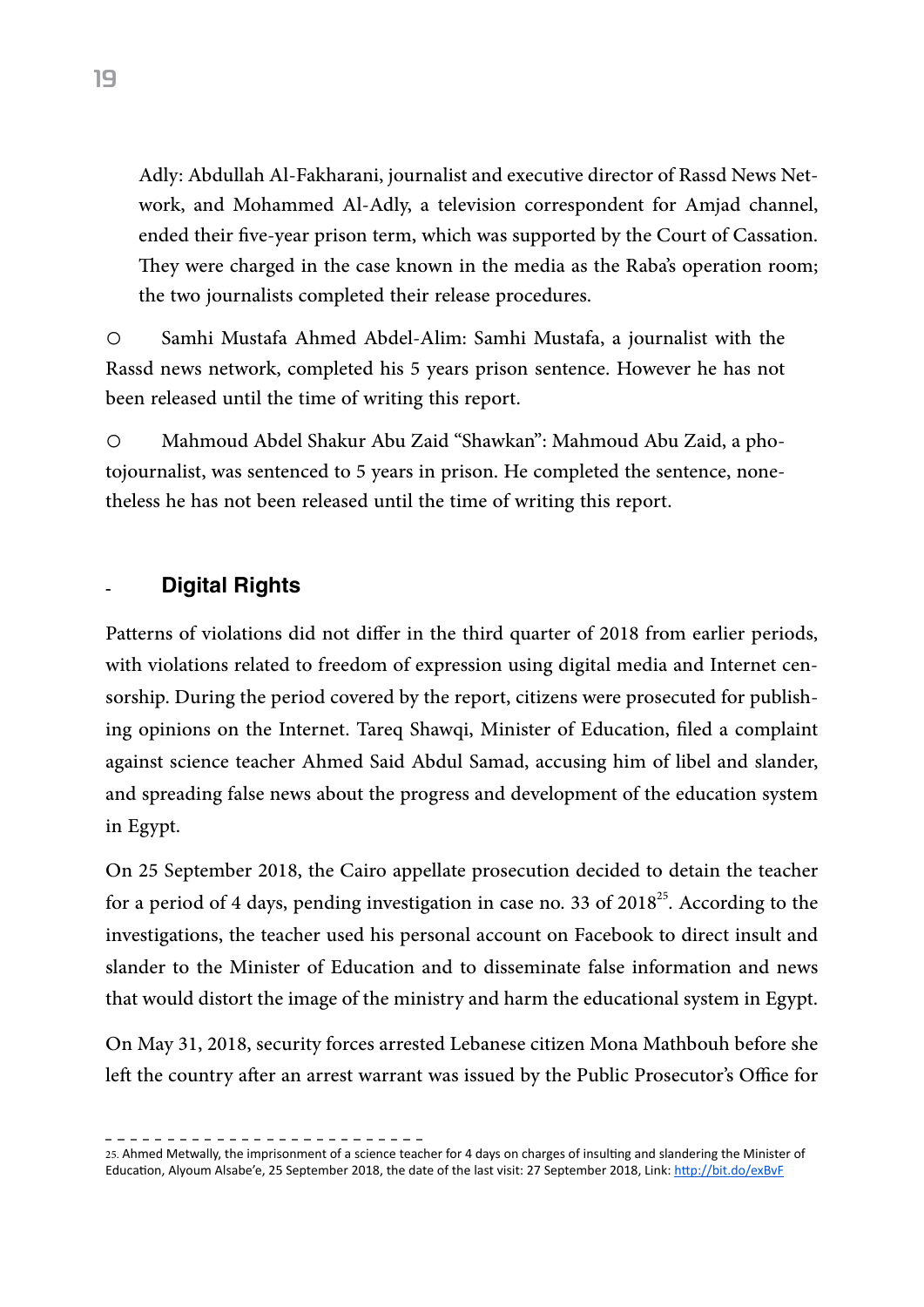Adly: Abdullah Al-Fakharani, journalist and executive director of Rassd News Network, and Mohammed Al-Adly, a television correspondent for Amjad channel, ended their five-year prison term, which was supported by the Court of Cassation. They were charged in the case known in the media as the Raba's operation room; the two journalists completed their release procedures.

o Samhi Mustafa Ahmed Abdel-Alim: Samhi Mustafa, a journalist with the Rassd news network, completed his 5 years prison sentence. However he has not been released until the time of writing this report.

o Mahmoud Abdel Shakur Abu Zaid "Shawkan": Mahmoud Abu Zaid, a photojournalist, was sentenced to 5 years in prison. He completed the sentence, nonetheless he has not been released until the time of writing this report.

### **Digital Rights**

Patterns of violations did not differ in the third quarter of 2018 from earlier periods, with violations related to freedom of expression using digital media and Internet censorship. During the period covered by the report, citizens were prosecuted for publishing opinions on the Internet. Tareq Shawqi, Minister of Education, filed a complaint against science teacher Ahmed Said Abdul Samad, accusing him of libel and slander, and spreading false news about the progress and development of the education system in Egypt.

On 25 September 2018, the Cairo appellate prosecution decided to detain the teacher for a period of 4 days, pending investigation in case no. 33 of  $2018^{25}$ . According to the investigations, the teacher used his personal account on Facebook to direct insult and slander to the Minister of Education and to disseminate false information and news that would distort the image of the ministry and harm the educational system in Egypt.

On May 31, 2018, security forces arrested Lebanese citizen Mona Mathbouh before she left the country after an arrest warrant was issued by the Public Prosecutor's Office for

<sup>25.</sup> Ahmed Metwally, the imprisonment of a science teacher for 4 days on charges of insulting and slandering the Minister of Education, Alyoum Alsabe'e, 25 September 2018, the date of the last visit: 27 September 2018, Link: <http://bit.do/exBvF>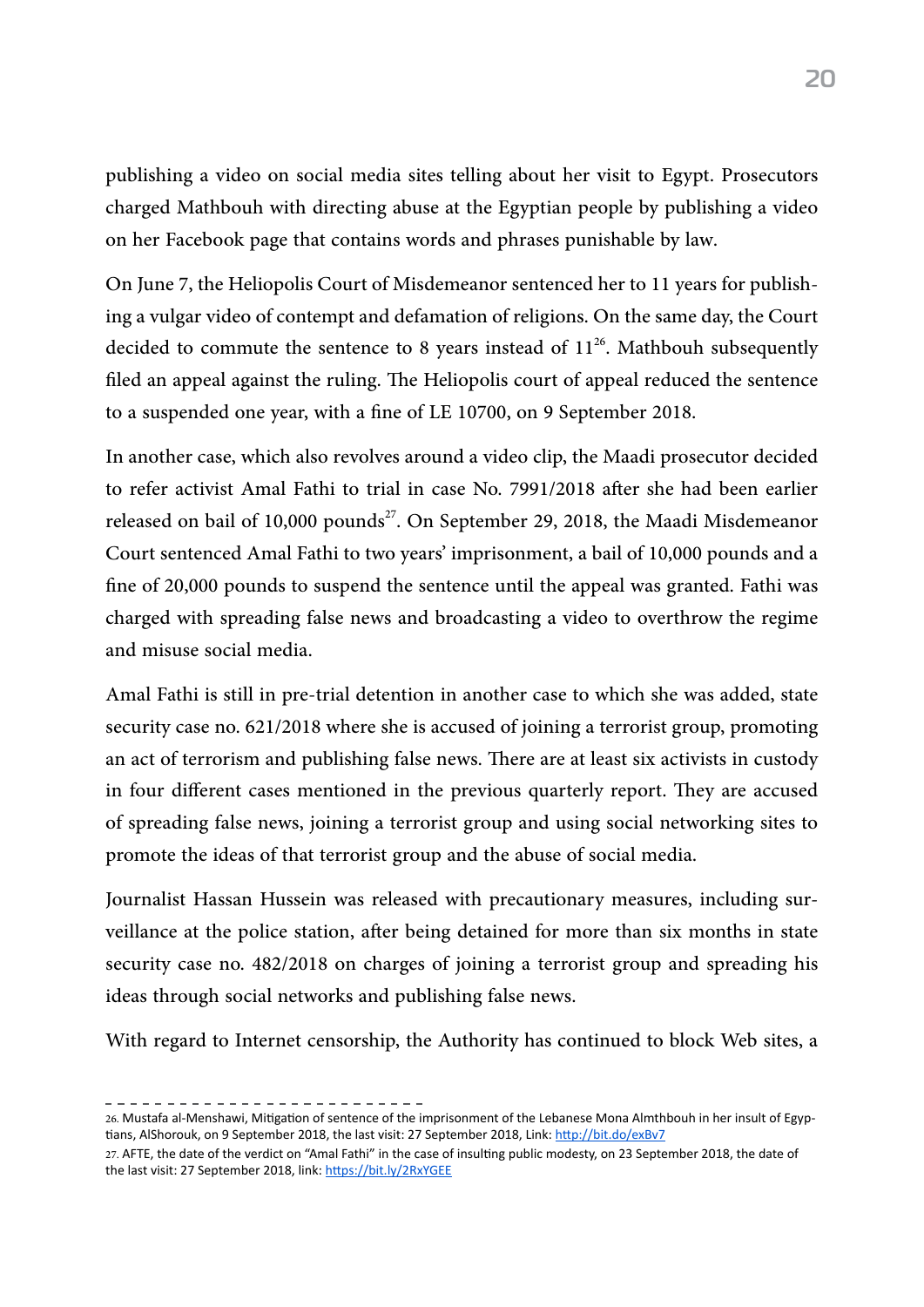publishing a video on social media sites telling about her visit to Egypt. Prosecutors charged Mathbouh with directing abuse at the Egyptian people by publishing a video on her Facebook page that contains words and phrases punishable by law.

On June 7, the Heliopolis Court of Misdemeanor sentenced her to 11 years for publishing a vulgar video of contempt and defamation of religions. On the same day, the Court decided to commute the sentence to 8 years instead of  $11^{26}$ . Mathbouh subsequently filed an appeal against the ruling. The Heliopolis court of appeal reduced the sentence to a suspended one year, with a fine of LE 10700, on 9 September 2018.

In another case, which also revolves around a video clip, the Maadi prosecutor decided to refer activist Amal Fathi to trial in case No. 7991/2018 after she had been earlier released on bail of 10,000 pounds<sup>27</sup>. On September 29, 2018, the Maadi Misdemeanor Court sentenced Amal Fathi to two years' imprisonment, a bail of 10,000 pounds and a fine of 20,000 pounds to suspend the sentence until the appeal was granted. Fathi was charged with spreading false news and broadcasting a video to overthrow the regime and misuse social media.

Amal Fathi is still in pre-trial detention in another case to which she was added, state security case no. 621/2018 where she is accused of joining a terrorist group, promoting an act of terrorism and publishing false news. There are at least six activists in custody in four different cases mentioned in the previous quarterly report. They are accused of spreading false news, joining a terrorist group and using social networking sites to promote the ideas of that terrorist group and the abuse of social media.

Journalist Hassan Hussein was released with precautionary measures, including surveillance at the police station, after being detained for more than six months in state security case no. 482/2018 on charges of joining a terrorist group and spreading his ideas through social networks and publishing false news.

With regard to Internet censorship, the Authority has continued to block Web sites, a

<sup>26.</sup> Mustafa al-Menshawi, Mitigation of sentence of the imprisonment of the Lebanese Mona Almthbouh in her insult of Egyptians, AlShorouk, on 9 September 2018, the last visit: 27 September 2018, Link: <http://bit.do/exBv7>

<sup>27.</sup> AFTE, the date of the verdict on "Amal Fathi" in the case of insulting public modesty, on 23 September 2018, the date of the last visit: 27 September 2018, link: <https://bit.ly/2RxYGEE>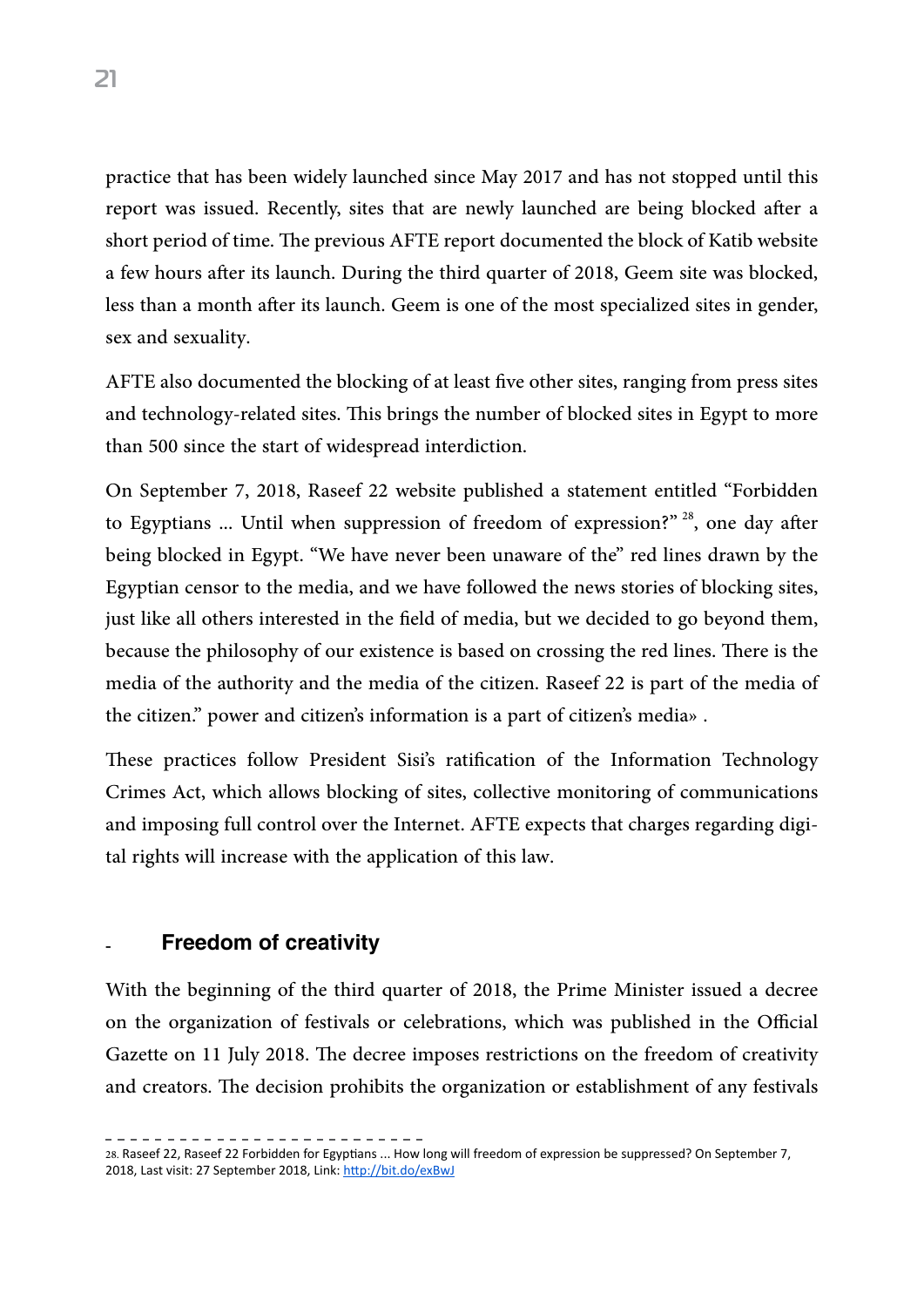practice that has been widely launched since May 2017 and has not stopped until this report was issued. Recently, sites that are newly launched are being blocked after a short period of time. The previous AFTE report documented the block of Katib website a few hours after its launch. During the third quarter of 2018, Geem site was blocked, less than a month after its launch. Geem is one of the most specialized sites in gender, sex and sexuality.

AFTE also documented the blocking of at least five other sites, ranging from press sites and technology-related sites. This brings the number of blocked sites in Egypt to more than 500 since the start of widespread interdiction.

On September 7, 2018, Raseef 22 website published a statement entitled "Forbidden to Egyptians ... Until when suppression of freedom of expression?"<sup>28</sup>, one day after being blocked in Egypt. "We have never been unaware of the" red lines drawn by the Egyptian censor to the media, and we have followed the news stories of blocking sites, just like all others interested in the field of media, but we decided to go beyond them, because the philosophy of our existence is based on crossing the red lines. There is the media of the authority and the media of the citizen. Raseef 22 is part of the media of the citizen." power and citizen's information is a part of citizen's media».

These practices follow President Sisi's ratification of the Information Technology Crimes Act, which allows blocking of sites, collective monitoring of communications and imposing full control over the Internet. AFTE expects that charges regarding digital rights will increase with the application of this law.

#### **Freedom of creativity**

With the beginning of the third quarter of 2018, the Prime Minister issued a decree on the organization of festivals or celebrations, which was published in the Official Gazette on 11 July 2018. The decree imposes restrictions on the freedom of creativity and creators. The decision prohibits the organization or establishment of any festivals

<sup>28.</sup> Raseef 22, Raseef 22 Forbidden for Egyptians ... How long will freedom of expression be suppressed? On September 7, 2018, Last visit: 27 September 2018, Link: <http://bit.do/exBwJ>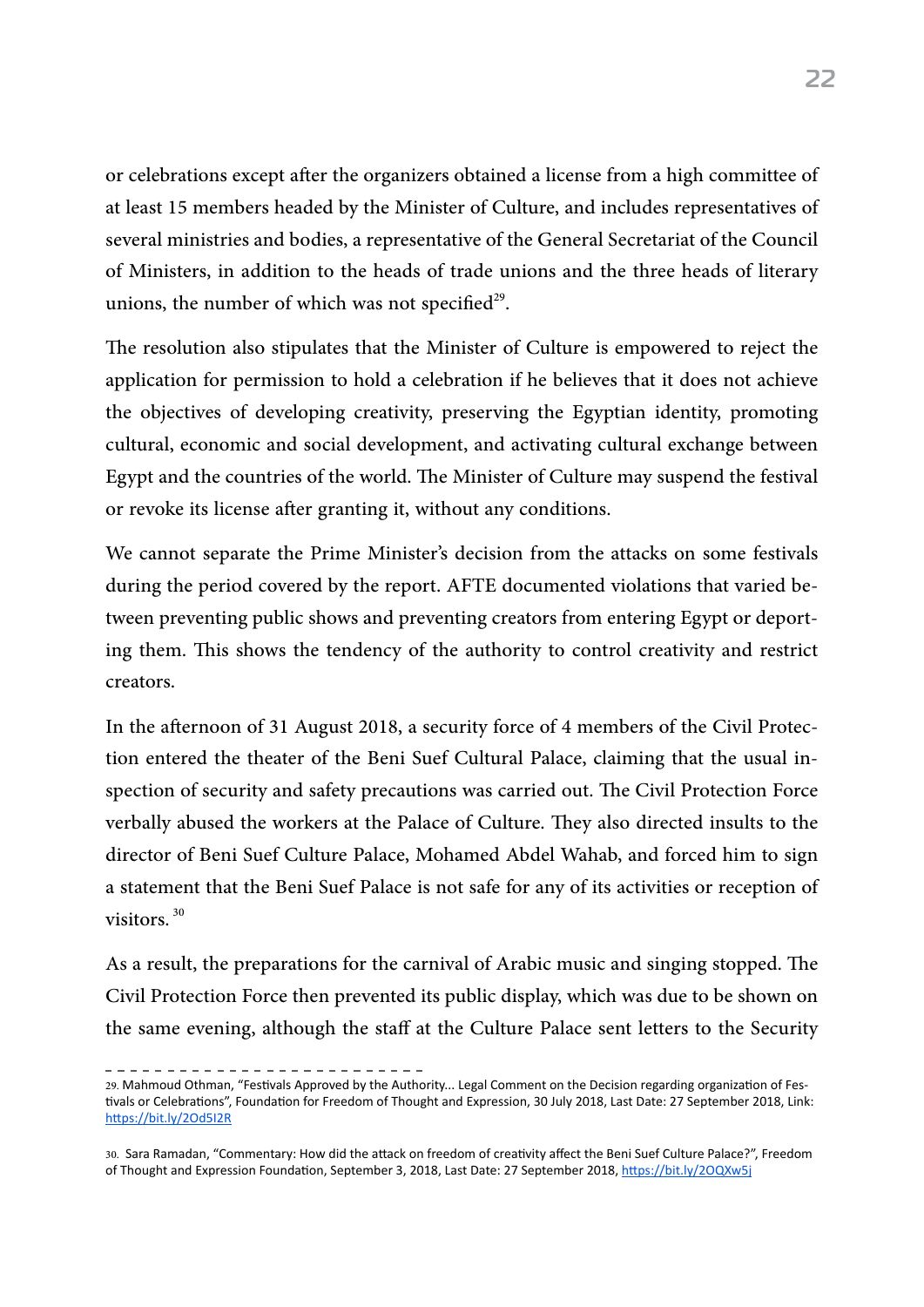or celebrations except after the organizers obtained a license from a high committee of at least 15 members headed by the Minister of Culture, and includes representatives of several ministries and bodies, a representative of the General Secretariat of the Council of Ministers, in addition to the heads of trade unions and the three heads of literary unions, the number of which was not specified $29$ .

The resolution also stipulates that the Minister of Culture is empowered to reject the application for permission to hold a celebration if he believes that it does not achieve the objectives of developing creativity, preserving the Egyptian identity, promoting cultural, economic and social development, and activating cultural exchange between Egypt and the countries of the world. The Minister of Culture may suspend the festival or revoke its license after granting it, without any conditions.

We cannot separate the Prime Minister's decision from the attacks on some festivals during the period covered by the report. AFTE documented violations that varied between preventing public shows and preventing creators from entering Egypt or deporting them. This shows the tendency of the authority to control creativity and restrict creators.

In the afternoon of 31 August 2018, a security force of 4 members of the Civil Protection entered the theater of the Beni Suef Cultural Palace, claiming that the usual inspection of security and safety precautions was carried out. The Civil Protection Force verbally abused the workers at the Palace of Culture. They also directed insults to the director of Beni Suef Culture Palace, Mohamed Abdel Wahab, and forced him to sign a statement that the Beni Suef Palace is not safe for any of its activities or reception of visitors<sup>30</sup>

As a result, the preparations for the carnival of Arabic music and singing stopped. The Civil Protection Force then prevented its public display, which was due to be shown on the same evening, although the staff at the Culture Palace sent letters to the Security

<sup>29.</sup> Mahmoud Othman, "Festivals Approved by the Authority... Legal Comment on the Decision regarding organization of Festivals or Celebrations", Foundation for Freedom of Thought and Expression, 30 July 2018, Last Date: 27 September 2018, Link: <https://bit.ly/2Od5I2R>

<sup>30.</sup> Sara Ramadan, "Commentary: How did the attack on freedom of creativity affect the Beni Suef Culture Palace?", Freedom of Thought and Expression Foundation, September 3, 2018, Last Date: 27 September 2018, <https://bit.ly/2OQXw5j>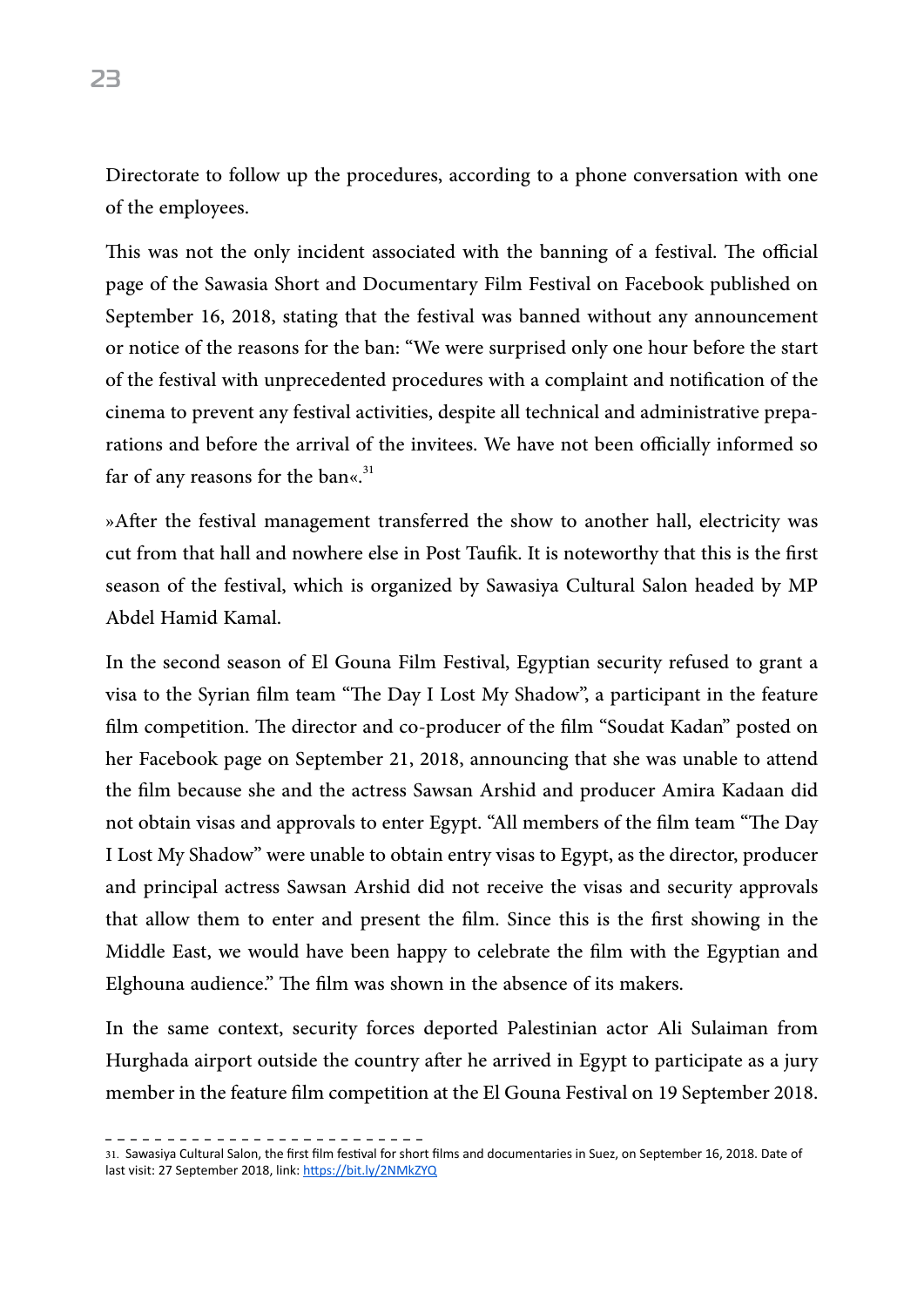Directorate to follow up the procedures, according to a phone conversation with one of the employees.

This was not the only incident associated with the banning of a festival. The official page of the Sawasia Short and Documentary Film Festival on Facebook published on September 16, 2018, stating that the festival was banned without any announcement or notice of the reasons for the ban: "We were surprised only one hour before the start of the festival with unprecedented procedures with a complaint and notification of the cinema to prevent any festival activities, despite all technical and administrative preparations and before the arrival of the invitees. We have not been officially informed so far of any reasons for the ban«. $31$ 

»After the festival management transferred the show to another hall, electricity was cut from that hall and nowhere else in Post Taufik. It is noteworthy that this is the first season of the festival, which is organized by Sawasiya Cultural Salon headed by MP Abdel Hamid Kamal.

In the second season of El Gouna Film Festival, Egyptian security refused to grant a visa to the Syrian film team "The Day I Lost My Shadow", a participant in the feature film competition. The director and co-producer of the film "Soudat Kadan" posted on her Facebook page on September 21, 2018, announcing that she was unable to attend the film because she and the actress Sawsan Arshid and producer Amira Kadaan did not obtain visas and approvals to enter Egypt. "All members of the film team "The Day I Lost My Shadow" were unable to obtain entry visas to Egypt, as the director, producer and principal actress Sawsan Arshid did not receive the visas and security approvals that allow them to enter and present the film. Since this is the first showing in the Middle East, we would have been happy to celebrate the film with the Egyptian and Elghouna audience." The film was shown in the absence of its makers.

In the same context, security forces deported Palestinian actor Ali Sulaiman from Hurghada airport outside the country after he arrived in Egypt to participate as a jury member in the feature film competition at the El Gouna Festival on 19 September 2018.

31. Sawasiya Cultural Salon, the first film festival for short films and documentaries in Suez, on September 16, 2018. Date of last visit: 27 September 2018, link: <https://bit.ly/2NMkZYQ>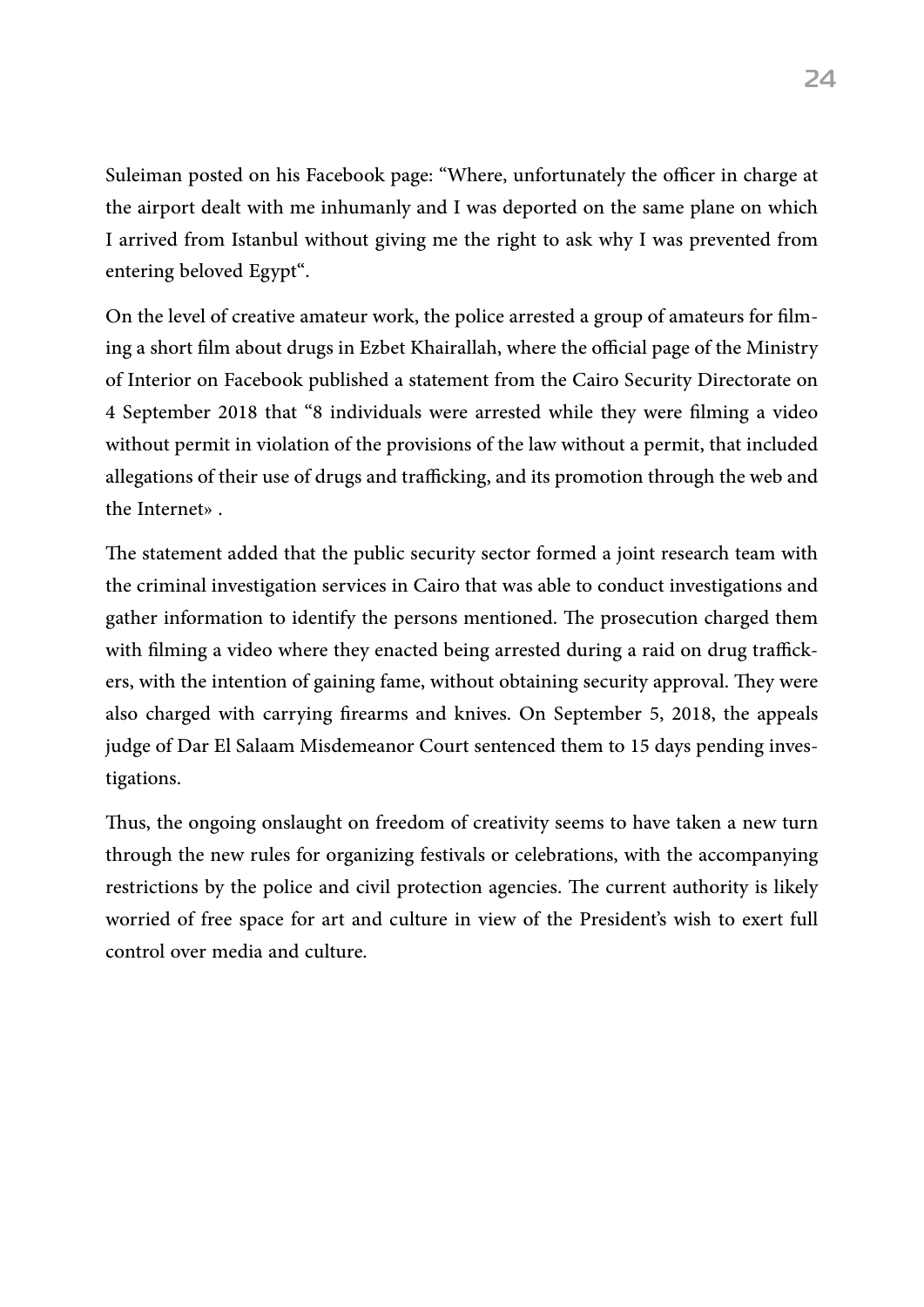Suleiman posted on his Facebook page: "Where, unfortunately the officer in charge at the airport dealt with me inhumanly and I was deported on the same plane on which I arrived from Istanbul without giving me the right to ask why I was prevented from entering beloved Egypt".

On the level of creative amateur work, the police arrested a group of amateurs for filming a short film about drugs in Ezbet Khairallah, where the official page of the Ministry of Interior on Facebook published a statement from the Cairo Security Directorate on 4 September 2018 that "8 individuals were arrested while they were filming a video without permit in violation of the provisions of the law without a permit, that included allegations of their use of drugs and trafficking, and its promotion through the web and the Internet».

The statement added that the public security sector formed a joint research team with the criminal investigation services in Cairo that was able to conduct investigations and gather information to identify the persons mentioned. The prosecution charged them with filming a video where they enacted being arrested during a raid on drug traffickers, with the intention of gaining fame, without obtaining security approval. They were also charged with carrying firearms and knives. On September 5, 2018, the appeals judge of Dar El Salaam Misdemeanor Court sentenced them to 15 days pending investigations.

Thus, the ongoing onslaught on freedom of creativity seems to have taken a new turn through the new rules for organizing festivals or celebrations, with the accompanying restrictions by the police and civil protection agencies. The current authority is likely worried of free space for art and culture in view of the President's wish to exert full control over media and culture.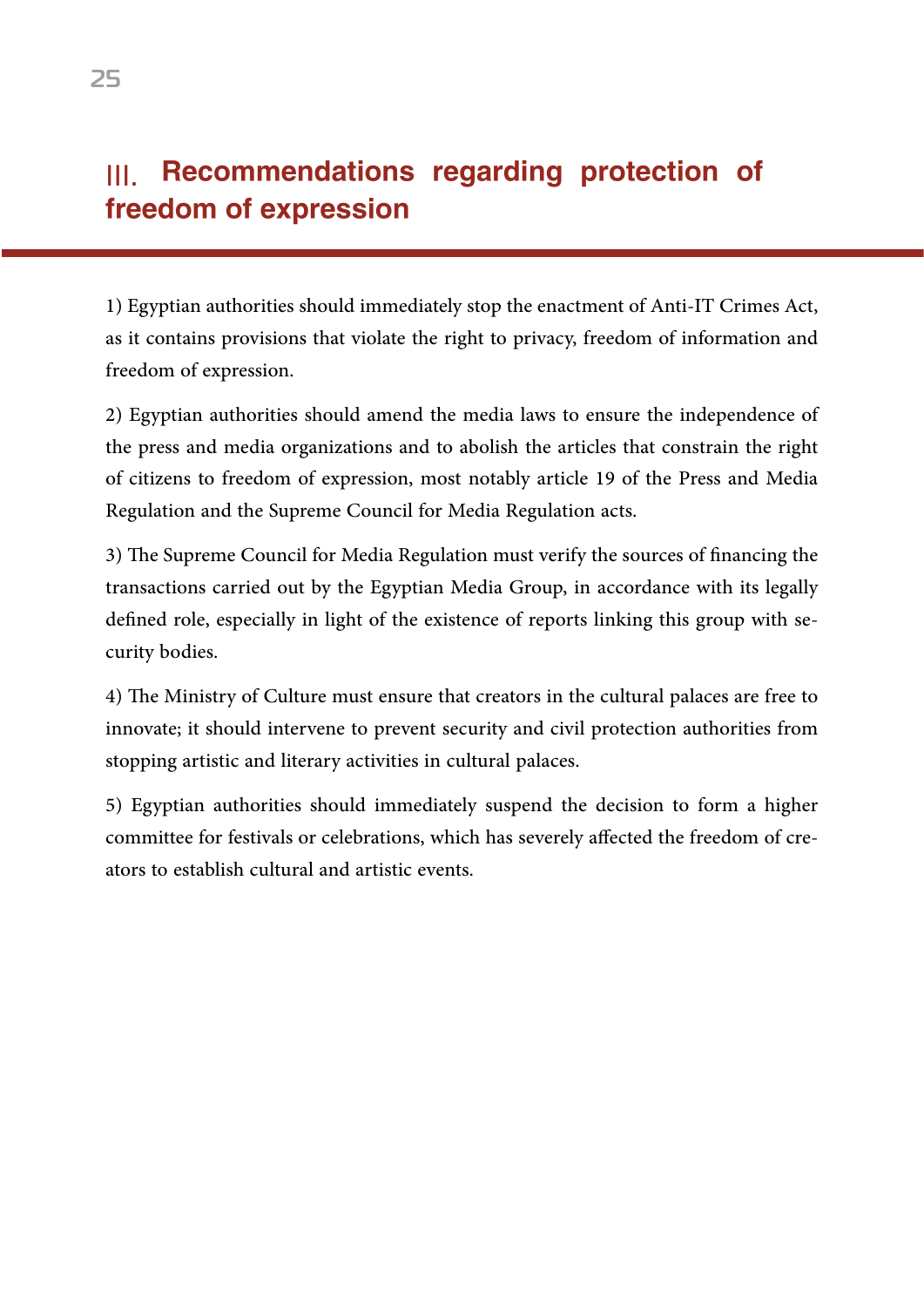# III. Recommendations regarding protection of freedom of expression

1) Egyptian authorities should immediately stop the enactment of Anti-IT Crimes Act, as it contains provisions that violate the right to privacy, freedom of information and freedom of expression.

2) Egyptian authorities should amend the media laws to ensure the independence of the press and media organizations and to abolish the articles that constrain the right of citizens to freedom of expression, most notably article 19 of the Press and Media Regulation and the Supreme Council for Media Regulation acts.

3) The Supreme Council for Media Regulation must verify the sources of financing the transactions carried out by the Egyptian Media Group, in accordance with its legally defined role, especially in light of the existence of reports linking this group with security bodies.

4) The Ministry of Culture must ensure that creators in the cultural palaces are free to innovate; it should intervene to prevent security and civil protection authorities from stopping artistic and literary activities in cultural palaces.

5) Egyptian authorities should immediately suspend the decision to form a higher committee for festivals or celebrations, which has severely affected the freedom of creators to establish cultural and artistic events.